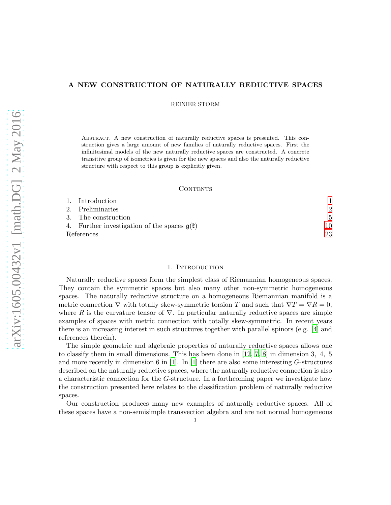# A NEW CONSTRUCTION OF NATURALLY REDUCTIVE SPACES

REINIER STORM

Abstract. A new construction of naturally reductive spaces is presented. This construction gives a large amount of new families of naturally reductive spaces. First the infinitesimal models of the new naturally reductive spaces are constructed. A concrete transitive group of isometries is given for the new spaces and also the naturally reductive structure with respect to this group is explicitly given.

### **CONTENTS**

|            | 1. Introduction                                          |    |
|------------|----------------------------------------------------------|----|
|            | 2. Preliminaries                                         |    |
|            | 3. The construction                                      | 5  |
|            | 4. Further investigation of the spaces $g(\mathfrak{k})$ | 10 |
| References |                                                          | 23 |

#### 1. Introduction

<span id="page-0-0"></span>Naturally reductive spaces form the simplest class of Riemannian homogeneous spaces. They contain the symmetric spaces but also many other non-symmetric homogeneous spaces. The naturally reductive structure on a homogeneous Riemannian manifold is a metric connection  $\nabla$  with totally skew-symmetric torsion T and such that  $\nabla T = \nabla R = 0$ , where R is the curvature tensor of  $\nabla$ . In particular naturally reductive spaces are simple examples of spaces with metric connection with totally skew-symmetric. In recent years there is an increasing interest in such structures together with parallel spinors (e.g. [\[4](#page-22-1)] and references therein).

The simple geometric and algebraic properties of naturally reductive spaces allows one to classify them in small dimensions. This has been done in [\[12,](#page-22-2) [7,](#page-22-3) [8\]](#page-22-4) in dimension 3, 4, 5 and more recently in dimension 6 in [\[1](#page-22-5)]. In [\[1\]](#page-22-5) there are also some interesting  $G$ -structures described on the naturally reductive spaces, where the naturally reductive connection is also a characteristic connection for the G-structure. In a forthcoming paper we investigate how the construction presented here relates to the classification problem of naturally reductive spaces.

Our construction produces many new examples of naturally reductive spaces. All of these spaces have a non-semisimple transvection algebra and are not normal homogeneous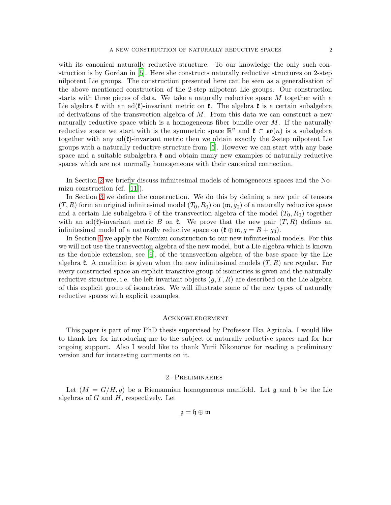with its canonical naturally reductive structure. To our knowledge the only such construction is by Gordan in [\[5](#page-22-6)]. Here she constructs naturally reductive structures on 2-step nilpotent Lie groups. The construction presented here can be seen as a generalisation of the above mentioned construction of the 2-step nilpotent Lie groups. Our construction starts with three pieces of data. We take a naturally reductive space M together with a Lie algebra  $\mathfrak k$  with an ad( $\mathfrak k$ )-invariant metric on  $\mathfrak k$ . The algebra  $\mathfrak k$  is a certain subalgebra of derivations of the transvection algebra of  $M$ . From this data we can construct a new naturally reductive space which is a homogeneous fiber bundle over  $M$ . If the naturally reductive space we start with is the symmetric space  $\mathbb{R}^n$  and  $\mathfrak{k} \subset \mathfrak{so}(n)$  is a subalgebra together with any  $ad(\mathfrak{k})$ -invariant metric then we obtain exactly the 2-step nilpotent Lie groups with a naturally reductive structure from [\[5](#page-22-6)]. However we can start with any base space and a suitable subalgebra  $\mathfrak k$  and obtain many new examples of naturally reductive spaces which are not normally homogeneous with their canonical connection.

In Section [2](#page-1-0) we briefly discuss infinitesimal models of homogeneous spaces and the Nomizu construction (cf. [\[11](#page-22-7)]).

In Section [3](#page-4-0) we define the construction. We do this by defining a new pair of tensors  $(T, R)$  form an original infinitesimal model  $(T_0, R_0)$  on  $(\mathfrak{m}, g_0)$  of a naturally reductive space and a certain Lie subalgebra  $\mathfrak k$  of the transvection algebra of the model  $(T_0, R_0)$  together with an ad( $\mathfrak{k}$ )-invariant metric B on  $\mathfrak{k}$ . We prove that the new pair  $(T, R)$  defines an infinitesimal model of a naturally reductive space on  $(\mathfrak{k} \oplus \mathfrak{m}, g = B + g_0)$ .

In Section [4](#page-9-0) we apply the Nomizu construction to our new infinitesimal models. For this we will not use the transvection algebra of the new model, but a Lie algebra which is known as the double extension, see [\[9](#page-22-8)], of the transvection algebra of the base space by the Lie algebra  $\ell$ . A condition is given when the new infinitesimal models  $(T, R)$  are regular. For every constructed space an explicit transitive group of isometries is given and the naturally reductive structure, i.e. the left invariant objects  $(g, T, R)$  are described on the Lie algebra of this explicit group of isometries. We will illustrate some of the new types of naturally reductive spaces with explicit examples.

### Acknowledgement

This paper is part of my PhD thesis supervised by Professor Ilka Agricola. I would like to thank her for introducing me to the subject of naturally reductive spaces and for her ongoing support. Also I would like to thank Yurii Nikonorov for reading a preliminary version and for interesting comments on it.

#### 2. Preliminaries

<span id="page-1-0"></span>Let  $(M = G/H, g)$  be a Riemannian homogeneous manifold. Let g and h be the Lie algebras of  $G$  and  $H$ , respectively. Let

$$
\mathfrak{g}=\mathfrak{h}\oplus\mathfrak{m}
$$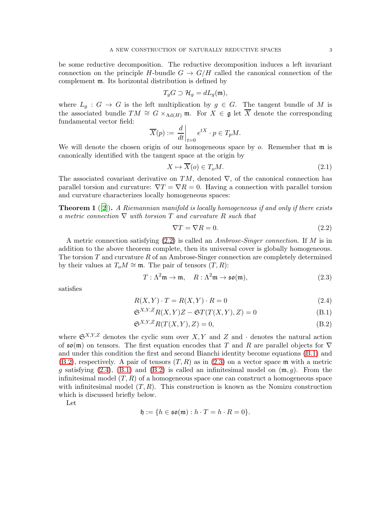be some reductive decomposition. The reductive decomposition induces a left invariant connection on the principle H-bundle  $G \to G/H$  called the canonical connection of the complement m. Its horizontal distribution is defined by

$$
T_gG \supset \mathcal{H}_g = dL_g(\mathfrak{m}),
$$

where  $L_g: G \to G$  is the left multiplication by  $g \in G$ . The tangent bundle of M is the associated bundle  $TM \cong G \times_{\text{Ad}(H)} \mathfrak{m}$ . For  $X \in \mathfrak{g}$  let  $\overline{X}$  denote the corresponding fundamental vector field:

$$
\overline{X}(p) := \left. \frac{d}{dt} \right|_{t=0} e^{tX} \cdot p \in T_p M.
$$

We will denote the chosen origin of our homogeneous space by  $o$ . Remember that  $\mathfrak{m}$  is canonically identified with the tangent space at the origin by

<span id="page-2-5"></span>
$$
X \mapsto \overline{X}(o) \in T_o M. \tag{2.1}
$$

The associated covariant derivative on TM, denoted  $\nabla$ , of the canonical connection has parallel torsion and curvature:  $\nabla T = \nabla R = 0$ . Having a connection with parallel torsion and curvature characterizes locally homogeneous spaces:

**Theorem 1** ([\[2](#page-22-9)]). A Riemannian manifold is locally homogeneous if and only if there exists a metric connection  $\nabla$  with torsion T and curvature R such that

<span id="page-2-4"></span><span id="page-2-2"></span><span id="page-2-1"></span><span id="page-2-0"></span>
$$
\nabla T = \nabla R = 0. \tag{2.2}
$$

A metric connection satisfying  $(2.2)$  is called an *Ambrose-Singer connection*. If M is in addition to the above theorem complete, then its universal cover is globally homogeneous. The torsion  $T$  and curvature  $R$  of an Ambrose-Singer connection are completely determined by their values at  $T_0M \cong \mathfrak{m}$ . The pair of tensors  $(T, R)$ :

<span id="page-2-3"></span>
$$
T: \Lambda^2 \mathfrak{m} \to \mathfrak{m}, \quad R: \Lambda^2 \mathfrak{m} \to \mathfrak{so}(\mathfrak{m}), \tag{2.3}
$$

satisfies

$$
R(X,Y) \cdot T = R(X,Y) \cdot R = 0 \tag{2.4}
$$

$$
\mathfrak{S}^{X,Y,Z}R(X,Y)Z - \mathfrak{S}T(T(X,Y),Z) = 0
$$
\n(B.1)

$$
\mathfrak{S}^{X,Y,Z}R(T(X,Y),Z) = 0,\tag{B.2}
$$

where  $\mathfrak{S}^{X,Y,Z}$  denotes the cyclic sum over  $X, Y$  and  $Z$  and  $\cdot$  denotes the natural action of  $\mathfrak{so}(m)$  on tensors. The first equation encodes that T and R are parallel objects for  $\nabla$ and under this condition the first and second Bianchi identity become equations [\(B.1\)](#page-2-1) and  $(B.2)$ , respectively. A pair of tensors  $(T, R)$  as in  $(2.3)$  on a vector space m with a metric g satisfying [\(2.4\)](#page-2-4), [\(B.1\)](#page-2-1) and [\(B.2\)](#page-2-2) is called an infinitesimal model on  $(\mathfrak{m}, g)$ . From the infinitesimal model  $(T, R)$  of a homogeneous space one can construct a homogeneous space with infinitesimal model  $(T, R)$ . This construction is known as the Nomizu construction which is discussed briefly below.

Let

$$
\mathfrak{h} := \{ h \in \mathfrak{so}(\mathfrak{m}) : h \cdot T = h \cdot R = 0 \}.
$$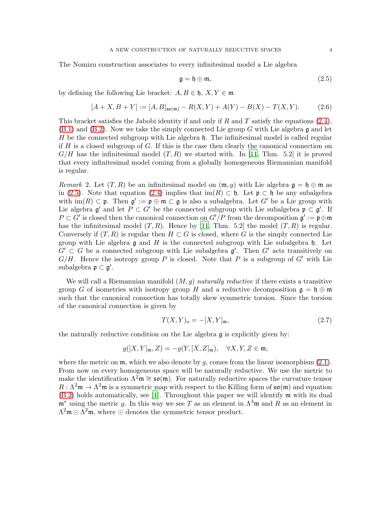<span id="page-3-0"></span>
$$
\mathfrak{g} = \mathfrak{h} \oplus \mathfrak{m},\tag{2.5}
$$

by defining the following Lie bracket:  $A, B \in \mathfrak{h}, X, Y \in \mathfrak{m}$ 

<span id="page-3-1"></span>
$$
[A+X, B+Y] := [A, B]_{\mathfrak{so}(\mathfrak{m})} - R(X, Y) + A(Y) - B(X) - T(X, Y). \tag{2.6}
$$

This bracket satisfies the Jabobi identity if and only if R and T satisfy the equations  $(2.4)$ ,  $(B.1)$  and  $(B.2)$ . Now we take the simply connected Lie group G with Lie algebra g and let H be the connected subgroup with Lie algebra  $\mathfrak h$ . The infinitesimal model is called regular if H is a closed subgroup of G. If this is the case then clearly the canonical connection on  $G/H$  has the infinitesimal model  $(T, R)$  we started with. In [\[11,](#page-22-7) Thm. 5.2] it is proved that every infinitesimal model coming from a globally homogeneous Riemannian manifold is regular.

<span id="page-3-2"></span>*Remark* 2. Let  $(T, R)$  be an infinitesimal model on  $(\mathfrak{m}, q)$  with Lie algebra  $\mathfrak{g} = \mathfrak{h} \oplus \mathfrak{m}$  as in [\(2.5\)](#page-3-0). Note that equation [\(2.4\)](#page-2-4) implies that im(R)  $\subset \mathfrak{h}$ . Let  $\mathfrak{p} \subset \mathfrak{h}$  be any subalgebra with  $\text{im}(R) \subset \mathfrak{p}$ . Then  $\mathfrak{g}' := \mathfrak{p} \oplus \mathfrak{m} \subset \mathfrak{g}$  is also a subalgebra. Let G' be a Lie group with Lie algebra  $\mathfrak{g}'$  and let  $P \subset G'$  be the connected subgroup with Lie subalgebra  $\mathfrak{p} \subset \mathfrak{g}'$ . If  $P \subset G'$  is closed then the canonical connection on  $G'/P$  from the decomposition  $\mathfrak{g}' := \mathfrak{p} \oplus \mathfrak{m}$ has the infinitesimal model  $(T, R)$ . Hence by [\[11,](#page-22-7) Thm. 5.2] the model  $(T, R)$  is regular. Conversely if  $(T, R)$  is regular then  $H \subset G$  is closed, where G is the simply connected Lie group with Lie algebra  $\mathfrak g$  and H is the connected subgroup with Lie subalgebra  $\mathfrak h$ . Let  $G' \subset G$  be a connected subgroup with Lie subalgebra  $\mathfrak{g}'$ . Then  $G'$  acts transitively on  $G/H$ . Hence the isotropy group P is closed. Note that P is a subgroup of G' with Lie subalgebra  $\mathfrak{p} \subset \mathfrak{g}'$ .

We will call a Riemannian manifold  $(M, g)$  naturally reductive if there exists a transitive group G of isometries with isotropy group H and a reductive decomposition  $\mathfrak{g} = \mathfrak{h} \oplus \mathfrak{m}$ such that the canonical connection has totally skew symmetric torsion. Since the torsion of the canonical connection is given by

$$
T(X,Y)_o = -[X,Y]_{\mathfrak{m}},\tag{2.7}
$$

the naturally reductive condition on the Lie algebra  $\mathfrak g$  is explicitly given by:

$$
g([X,Y]_{\mathfrak{m}},Z) = -g(Y,[X,Z]_{\mathfrak{m}}), \quad \forall X,Y,Z \in \mathfrak{m},
$$

where the metric on  $\mathfrak{m}$ , which we also denote by g, comes from the linear isomorphism  $(2.1)$ . From now on every homogeneous space will be naturally reductive. We use the metric to make the identification  $\Lambda^2 \mathfrak{m} \cong \mathfrak{so}(\mathfrak{m})$ . For naturally reductive spaces the curvature tensor  $R : \Lambda^2 \mathfrak{m} \to \Lambda^2 \mathfrak{m}$  is a symmetric map with respect to the Killing form of  $\mathfrak{so}(\mathfrak{m})$  and equation [\(B.2\)](#page-2-2) holds automatically, see [\[1](#page-22-5)]. Throughout this paper we will identify m with its dual  $\mathfrak{m}^*$  using the metric g. In this way we see T as an element in  $\Lambda^3\mathfrak{m}$  and R as an element in  $\Lambda^2$ m ⊙  $\Lambda^2$ m, where ⊙ denotes the symmetric tensor product.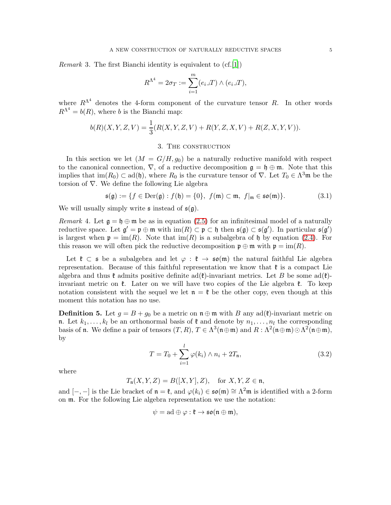*Remark* 3. The first Bianchi identity is equivalent to  $(cf.[1])$  $(cf.[1])$  $(cf.[1])$ 

$$
R^{\Lambda^4} = 2\sigma_T := \sum_{i=1}^m (e_i \lrcorner T) \wedge (e_i \lrcorner T),
$$

where  $R^{\Lambda^4}$  denotes the 4-form component of the curvature tensor R. In other words  $R^{\Lambda^4} = b(R)$ , where b is the Bianchi map:

$$
b(R)(X, Y, Z, V) = \frac{1}{3}(R(X, Y, Z, V) + R(Y, Z, X, V) + R(Z, X, Y, V)).
$$

## 3. The construction

<span id="page-4-0"></span>In this section we let  $(M = G/H, g_0)$  be a naturally reductive manifold with respect to the canonical connection,  $\nabla$ , of a reductive decomposition  $\mathfrak{g} = \mathfrak{h} \oplus \mathfrak{m}$ . Note that this implies that  $\text{im}(R_0) \subset \text{ad}(\mathfrak{h})$ , where  $R_0$  is the curvature tensor of  $\nabla$ . Let  $T_0 \in \Lambda^3 \mathfrak{m}$  be the torsion of  $\nabla$ . We define the following Lie algebra

$$
\mathfrak{s}(\mathfrak{g}) := \{ f \in \text{Der}(\mathfrak{g}) : f(\mathfrak{h}) = \{0\}, \ f(\mathfrak{m}) \subset \mathfrak{m}, \ f|_{\mathfrak{m}} \in \mathfrak{so}(\mathfrak{m}) \}. \tag{3.1}
$$

We will usually simply write  $\mathfrak s$  instead of  $\mathfrak s(\mathfrak g)$ .

<span id="page-4-3"></span>Remark 4. Let  $\mathfrak{g} = \mathfrak{h} \oplus \mathfrak{m}$  be as in equation [\(2.5\)](#page-3-0) for an infinitesimal model of a naturally reductive space. Let  $\mathfrak{g}' = \mathfrak{p} \oplus \mathfrak{m}$  with  $\text{im}(R) \subset \mathfrak{p} \subset \mathfrak{h}$  then  $\mathfrak{s}(\mathfrak{g}) \subset \mathfrak{s}(\mathfrak{g}')$ . In particular  $\mathfrak{s}(\mathfrak{g}')$ is largest when  $\mathfrak{p} = \text{im}(R)$ . Note that  $\text{im}(R)$  is a subalgebra of h by equation [\(2.4\)](#page-2-4). For this reason we will often pick the reductive decomposition  $\mathfrak{p} \oplus \mathfrak{m}$  with  $\mathfrak{p} = \text{im}(R)$ .

Let  $\mathfrak{k} \subset \mathfrak{s}$  be a subalgebra and let  $\varphi : \mathfrak{k} \to \mathfrak{so}(\mathfrak{m})$  the natural faithful Lie algebra representation. Because of this faithful representation we know that  $\mathfrak{k}$  is a compact Lie algebra and thus  $\mathfrak{k}$  admits positive definite ad( $\mathfrak{k}$ )-invariant metrics. Let B be some ad( $\mathfrak{k}$ )invariant metric on  $\ell$ . Later on we will have two copies of the Lie algebra  $\ell$ . To keep notation consistent with the sequel we let  $\mathfrak{n} = \mathfrak{k}$  be the other copy, even though at this moment this notation has no use.

<span id="page-4-1"></span>**Definition 5.** Let  $g = B + g_0$  be a metric on  $\mathfrak{n} \oplus \mathfrak{m}$  with B any ad( $\mathfrak{k}$ )-invariant metric on n. Let  $k_1, \ldots, k_l$  be an orthonormal basis of  $\mathfrak k$  and denote by  $n_1, \ldots, n_l$  the corresponding basis of **n**. We define a pair of tensors  $(T, R)$ ,  $T \in \Lambda^3(\mathfrak{n} \oplus \mathfrak{m})$  and  $R : \Lambda^2(\mathfrak{n} \oplus \mathfrak{m}) \odot \Lambda^2(\mathfrak{n} \oplus \mathfrak{m})$ , by

<span id="page-4-2"></span>
$$
T = T_0 + \sum_{i=1}^{l} \varphi(k_i) \wedge n_i + 2T_n, \tag{3.2}
$$

where

$$
T_{\mathfrak{n}}(X,Y,Z)=B([X,Y],Z),\quad\text{for }X,Y,Z\in\mathfrak{n},
$$

and  $[-,-]$  is the Lie bracket of  $\mathfrak{n} = \mathfrak{k}$ , and  $\varphi(k_i) \in \mathfrak{so}(\mathfrak{m}) \cong \Lambda^2 \mathfrak{m}$  is identified with a 2-form on m. For the following Lie algebra representation we use the notation:

$$
\psi = \mathrm{ad} \oplus \varphi : \mathfrak{k} \to \mathfrak{so}(\mathfrak{n} \oplus \mathfrak{m}),
$$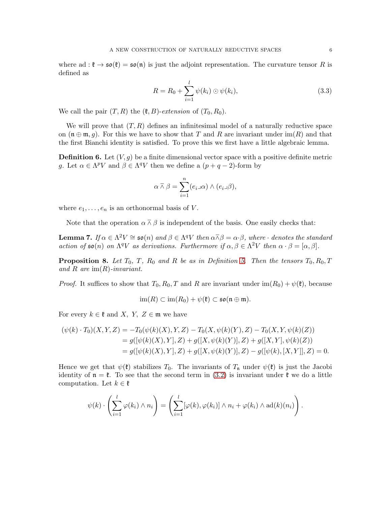where ad :  $\mathfrak{k} \to \mathfrak{so}(\mathfrak{k}) = \mathfrak{so}(\mathfrak{n})$  is just the adjoint representation. The curvature tensor R is defined as

<span id="page-5-2"></span>
$$
R = R_0 + \sum_{i=1}^{l} \psi(k_i) \odot \psi(k_i), \qquad (3.3)
$$

We call the pair  $(T, R)$  the  $(\mathfrak{k}, B)$ -extension of  $(T_0, R_0)$ .

We will prove that  $(T, R)$  defines an infinitesimal model of a naturally reductive space on  $(\mathfrak{n} \oplus \mathfrak{m}, q)$ . For this we have to show that T and R are invariant under  $\text{im}(R)$  and that the first Bianchi identity is satisfied. To prove this we first have a little algebraic lemma.

**Definition 6.** Let  $(V, g)$  be a finite dimensional vector space with a positive definite metric g. Let  $\alpha \in \Lambda^p V$  and  $\beta \in \Lambda^q V$  then we define a  $(p+q-2)$ -form by

$$
\alpha \barwedge \beta = \sum_{i=1}^n (e_i \Box \alpha) \wedge (e_i \Box \beta),
$$

where  $e_1, \ldots, e_n$  is an orthonormal basis of V.

Note that the operation  $\alpha \bar{\wedge} \beta$  is independent of the basis. One easily checks that:

<span id="page-5-0"></span>**Lemma 7.** If  $\alpha \in \Lambda^2 V \cong \mathfrak{so}(n)$  and  $\beta \in \Lambda^q V$  then  $\alpha \overline{\wedge} \beta = \alpha \cdot \beta$ , where  $\cdot$  denotes the standard action of  $\mathfrak{so}(n)$  on  $\Lambda^q V$  as derivations. Furthermore if  $\alpha, \beta \in \Lambda^2 V$  then  $\alpha \cdot \beta = [\alpha, \beta]$ .

<span id="page-5-1"></span>**Proposition 8.** Let  $T_0$ , T,  $R_0$  and R be as in Definition [5.](#page-4-1) Then the tensors  $T_0$ ,  $R_0$ , T and R are  $\text{im}(R)$ -invariant.

*Proof.* It suffices to show that  $T_0$ ,  $R_0$ , T and R are invariant under im( $R_0$ ) +  $\psi$ ( $\mathfrak{k}$ ), because

$$
\operatorname{im}(R) \subset \operatorname{im}(R_0) + \psi(\mathfrak{k}) \subset \mathfrak{so}(\mathfrak{n} \oplus \mathfrak{m}).
$$

For every  $k \in \mathfrak{k}$  and X, Y,  $Z \in \mathfrak{m}$  we have

$$
(\psi(k) \cdot T_0)(X, Y, Z) = -T_0(\psi(k)(X), Y, Z) - T_0(X, \psi(k)(Y), Z) - T_0(X, Y, \psi(k)(Z))
$$
  
=  $g([\psi(k)(X), Y], Z) + g([X, \psi(k)(Y)], Z) + g([X, Y], \psi(k)(Z))$   
=  $g([\psi(k)(X), Y], Z) + g([X, \psi(k)(Y)], Z) - g([\psi(k), [X, Y]], Z) = 0.$ 

Hence we get that  $\psi(\mathfrak{k})$  stabilizes  $T_0$ . The invariants of  $T_n$  under  $\psi(\mathfrak{k})$  is just the Jacobi identity of  $\mathfrak{n} = \mathfrak{k}$ . To see that the second term in [\(3.2\)](#page-4-2) is invariant under  $\mathfrak{k}$  we do a little computation. Let  $k \in \mathfrak{k}$ 

$$
\psi(k) \cdot \left( \sum_{i=1}^l \varphi(k_i) \wedge n_i \right) = \left( \sum_{i=1}^l [\varphi(k), \varphi(k_i)] \wedge n_i + \varphi(k_i) \wedge \mathrm{ad}(k)(n_i) \right).
$$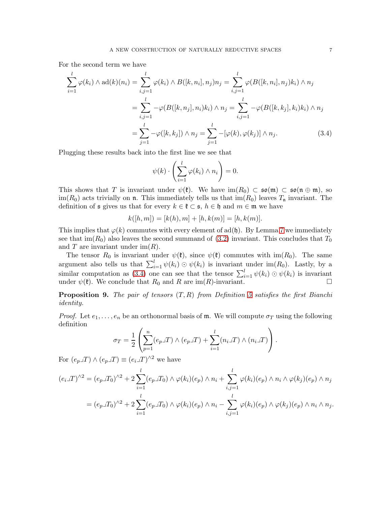For the second term we have

$$
\sum_{i=1}^{l} \varphi(k_i) \wedge \text{ad}(k)(n_i) = \sum_{i,j=1}^{l} \varphi(k_i) \wedge B([k, n_i], n_j) n_j = \sum_{i,j=1}^{l} \varphi(B([k, n_i], n_j) k_i) \wedge n_j
$$

$$
= \sum_{i,j=1}^{l} -\varphi(B([k, n_j], n_i) k_i) \wedge n_j = \sum_{i,j=1}^{l} -\varphi(B([k, k_j], k_i) k_i) \wedge n_j
$$

$$
= \sum_{j=1}^{l} -\varphi([k, k_j]) \wedge n_j = \sum_{j=1}^{l} -[\varphi(k), \varphi(k_j)] \wedge n_j. \tag{3.4}
$$

Plugging these results back into the first line we see that

<span id="page-6-0"></span>
$$
\psi(k) \cdot \left(\sum_{i=1}^l \varphi(k_i) \wedge n_i\right) = 0.
$$

This shows that T is invariant under  $\psi(\mathfrak{k})$ . We have  $\text{im}(R_0) \subset \mathfrak{so}(\mathfrak{m}) \subset \mathfrak{so}(\mathfrak{n} \oplus \mathfrak{m})$ , so  $\lim(R_0)$  acts trivially on n. This immediately tells us that  $\lim(R_0)$  leaves  $T_n$  invariant. The definition of  $\mathfrak s$  gives us that for every  $k \in \mathfrak k \subset \mathfrak s$ ,  $h \in \mathfrak h$  and  $m \in \mathfrak m$  we have

$$
k([h,m]) = [k(h),m] + [h,k(m)] = [h,k(m)].
$$

This implies that  $\varphi(k)$  commutes with every element of ad(h). By Lemma [7](#page-5-0) we immediately see that im( $R_0$ ) also leaves the second summand of [\(3.2\)](#page-4-2) invariant. This concludes that  $T_0$ and T are invariant under  $\text{im}(R)$ .

The tensor  $R_0$  is invariant under  $\psi(\mathfrak{k})$ , since  $\psi(\mathfrak{k})$  commutes with im $(R_0)$ . The same argument also tells us that  $\sum_{i=1}^{l} \psi(k_i) \odot \psi(k_i)$  is invariant under im $(R_0)$ . Lastly, by a similar computation as [\(3.4\)](#page-6-0) one can see that the tensor  $\sum_{i=1}^{l} \psi(k_i) \odot \psi(k_i)$  is invariant under  $\psi(\mathfrak{k})$ . We conclude that  $R_0$  and R are im(R)-invariant.

<span id="page-6-1"></span>**Proposition 9.** The pair of tensors  $(T, R)$  from Definition [5](#page-4-1) satisfies the first Bianchi identity.

*Proof.* Let  $e_1, \ldots, e_n$  be an orthonormal basis of m. We will compute  $\sigma_T$  using the following definition

$$
\sigma_T = \frac{1}{2} \left( \sum_{p=1}^n (e_p \lrcorner T) \wedge (e_p \lrcorner T) + \sum_{i=1}^l (n_i \lrcorner T) \wedge (n_i \lrcorner T) \right).
$$

For  $(e_p\lrcorner T) \wedge (e_p\lrcorner T) \equiv (e_i\lrcorner T)^{\wedge 2}$  we have

$$
(e_i \mathcal{F})^{\wedge 2} = (e_p \mathcal{F}_0)^{\wedge 2} + 2 \sum_{i=1}^l (e_p \mathcal{F}_0) \wedge \varphi(k_i)(e_p) \wedge n_i + \sum_{i,j=1}^l \varphi(k_i)(e_p) \wedge n_i \wedge \varphi(k_j)(e_p) \wedge n_j
$$

$$
= (e_p \mathcal{F}_0)^{\wedge 2} + 2 \sum_{i=1}^l (e_p \mathcal{F}_0) \wedge \varphi(k_i)(e_p) \wedge n_i - \sum_{i,j=1}^l \varphi(k_i)(e_p) \wedge \varphi(k_j)(e_p) \wedge n_i \wedge n_j.
$$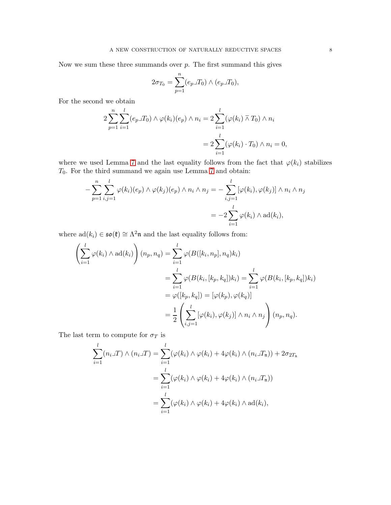Now we sum these three summands over  $p$ . The first summand this gives

$$
2\sigma_{T_0} = \sum_{p=1}^n (e_p \lrcorner T_0) \wedge (e_p \lrcorner T_0),
$$

For the second we obtain

$$
2\sum_{p=1}^{n} \sum_{i=1}^{l} (e_p \Box T_0) \wedge \varphi(k_i)(e_p) \wedge n_i = 2\sum_{i=1}^{l} (\varphi(k_i) \overline{\wedge} T_0) \wedge n_i
$$

$$
= 2\sum_{i=1}^{l} (\varphi(k_i) \cdot T_0) \wedge n_i = 0,
$$

where we used Lemma [7](#page-5-0) and the last equality follows from the fact that  $\varphi(k_i)$  stabilizes  $T_0$ . For the third summand we again use Lemma [7](#page-5-0) and obtain:

$$
-\sum_{p=1}^{n} \sum_{i,j=1}^{l} \varphi(k_i)(e_p) \wedge \varphi(k_j)(e_p) \wedge n_i \wedge n_j = -\sum_{i,j=1}^{l} [\varphi(k_i), \varphi(k_j)] \wedge n_i \wedge n_j
$$

$$
= -2\sum_{i=1}^{l} \varphi(k_i) \wedge ad(k_i),
$$

where  $ad(k_i) \in \mathfrak{so}(\mathfrak{k}) \cong \Lambda^2\mathfrak{n}$  and the last equality follows from:

$$
\left(\sum_{i=1}^{l} \varphi(k_i) \wedge \mathrm{ad}(k_i)\right)(n_p, n_q) = \sum_{i=1}^{l} \varphi(B([k_i, n_p], n_q)k_i)
$$
  
= 
$$
\sum_{i=1}^{l} \varphi(B(k_i, [k_p, k_q])k_i) = \sum_{i=1}^{l} \varphi(B(k_i, [k_p, k_q])k_i)
$$
  
= 
$$
\varphi([k_p, k_q]) = [\varphi(k_p), \varphi(k_q)]
$$
  
= 
$$
\frac{1}{2} \left(\sum_{i,j=1}^{l} [\varphi(k_i), \varphi(k_j)] \wedge n_i \wedge n_j\right)(n_p, n_q).
$$

The last term to compute for  $\sigma_T$  is

$$
\sum_{i=1}^{l} (n_i \Delta T) \wedge (n_i \Delta T) = \sum_{i=1}^{l} (\varphi(k_i) \wedge \varphi(k_i) + 4\varphi(k_i) \wedge (n_i \Delta T_n)) + 2\sigma_{2T_n}
$$

$$
= \sum_{i=1}^{l} (\varphi(k_i) \wedge \varphi(k_i) + 4\varphi(k_i) \wedge (n_i \Delta T_n))
$$

$$
= \sum_{i=1}^{l} (\varphi(k_i) \wedge \varphi(k_i) + 4\varphi(k_i) \wedge \mathrm{ad}(k_i),
$$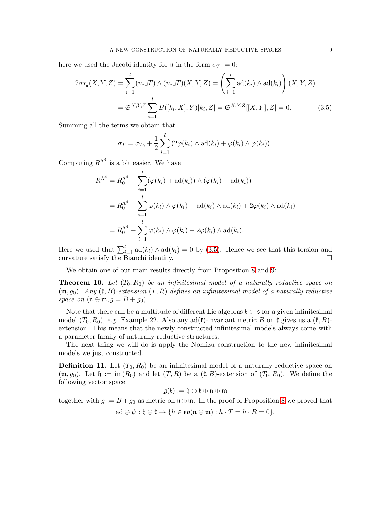here we used the Jacobi identity for  $\mathfrak{n}$  in the form  $\sigma_{T_{\mathfrak{n}}} = 0$ :

$$
2\sigma_{T_n}(X, Y, Z) = \sum_{i=1}^l (n_i \lrcorner T) \wedge (n_i \lrcorner T)(X, Y, Z) = \left(\sum_{i=1}^l \mathrm{ad}(k_i) \wedge \mathrm{ad}(k_i)\right)(X, Y, Z)
$$

$$
= \mathfrak{S}^{X, Y, Z} \sum_{i=1}^l B([k_i, X], Y)[k_i, Z] = \mathfrak{S}^{X, Y, Z}[[X, Y], Z] = 0. \tag{3.5}
$$

Summing all the terms we obtain that

<span id="page-8-0"></span>
$$
\sigma_T = \sigma_{T_0} + \frac{1}{2} \sum_{i=1}^l \left( 2\varphi(k_i) \wedge \mathrm{ad}(k_i) + \varphi(k_i) \wedge \varphi(k_i) \right).
$$

Computing  $R^{\Lambda^4}$  is a bit easier. We have

$$
R^{\Lambda^4} = R_0^{\Lambda^4} + \sum_{i=1}^l (\varphi(k_i) + \mathrm{ad}(k_i)) \wedge (\varphi(k_i) + \mathrm{ad}(k_i))
$$
  
=  $R_0^{\Lambda^4} + \sum_{i=1}^l \varphi(k_i) \wedge \varphi(k_i) + \mathrm{ad}(k_i) \wedge \mathrm{ad}(k_i) + 2\varphi(k_i) \wedge \mathrm{ad}(k_i)$   
=  $R_0^{\Lambda^4} + \sum_{i=1}^l \varphi(k_i) \wedge \varphi(k_i) + 2\varphi(k_i) \wedge \mathrm{ad}(k_i).$ 

Here we used that  $\sum_{i=1}^{l} ad(k_i) \wedge ad(k_i) = 0$  by [\(3.5\)](#page-8-0). Hence we see that this torsion and curvature satisfy the Bianchi identity.

We obtain one of our main results directly from Proposition [8](#page-5-1) and [9:](#page-6-1)

**Theorem 10.** Let  $(T_0, R_0)$  be an infinitesimal model of a naturally reductive space on  $(m, g_0)$ . Any  $(\mathfrak{k}, B)$ -extension  $(T, R)$  defines an infinitesimal model of a naturally reductive space on  $(\mathfrak{n} \oplus \mathfrak{m}, g = B + g_0)$ .

Note that there can be a multitude of different Lie algebras  $\mathfrak{k} \subset \mathfrak{s}$  for a given infinitesimal model  $(T_0, R_0)$ , e.g. Example [22.](#page-20-0) Also any  $ad(\mathfrak{k})$ -invariant metric B on  $\mathfrak{k}$  gives us a  $(\mathfrak{k}, B)$ extension. This means that the newly constructed infinitesimal models always come with a parameter family of naturally reductive structures.

The next thing we will do is apply the Nomizu construction to the new infinitesimal models we just constructed.

<span id="page-8-1"></span>**Definition 11.** Let  $(T_0, R_0)$  be an infinitesimal model of a naturally reductive space on  $(\mathfrak{m}, g_0)$ . Let  $\mathfrak{h} := \text{im}(R_0)$  and let  $(T, R)$  be a  $(\mathfrak{k}, B)$ -extension of  $(T_0, R_0)$ . We define the following vector space

$$
\mathfrak{g}(\mathfrak{k}):=\mathfrak{h}\oplus\mathfrak{k}\oplus\mathfrak{n}\oplus\mathfrak{m}
$$

together with  $g := B + g_0$  as metric on  $\mathfrak{n} \oplus \mathfrak{m}$ . In the proof of Proposition [8](#page-5-1) we proved that

$$
ad \oplus \psi : \mathfrak{h} \oplus \mathfrak{k} \to \{h \in \mathfrak{so}(\mathfrak{n} \oplus \mathfrak{m}) : h \cdot T = h \cdot R = 0\}.
$$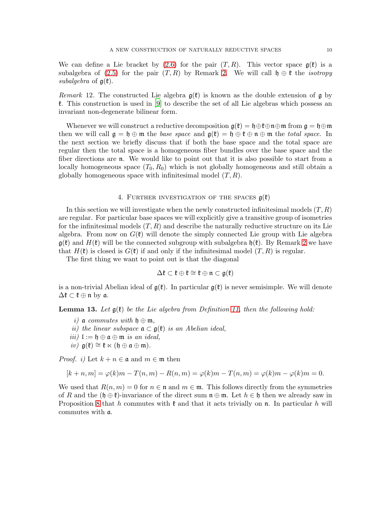We can define a Lie bracket by [\(2.6\)](#page-3-1) for the pair  $(T, R)$ . This vector space  $g(\mathfrak{k})$  is a subalgebra of [\(2.5\)](#page-3-0) for the pair  $(T, R)$  by Remark [2.](#page-3-2) We will call  $\mathfrak{h} \oplus \mathfrak{k}$  the *isotropy* subalgebra of  $g(\mathfrak{k})$ .

Remark 12. The constructed Lie algebra  $g(\mathfrak{k})$  is known as the double extension of g by k. This construction is used in [\[9\]](#page-22-8) to describe the set of all Lie algebras which possess an invariant non-degenerate bilinear form.

Whenever we will construct a reductive decomposition  $\mathfrak{g}(\mathfrak{k}) = \mathfrak{h} \oplus \mathfrak{k} \oplus \mathfrak{n} \oplus \mathfrak{m}$  from  $\mathfrak{g} = \mathfrak{h} \oplus \mathfrak{m}$ then we will call  $\mathfrak{g} = \mathfrak{h} \oplus \mathfrak{m}$  the base space and  $\mathfrak{g}(\mathfrak{k}) = \mathfrak{h} \oplus \mathfrak{k} \oplus \mathfrak{m} \oplus \mathfrak{m}$  the total space. In the next section we briefly discuss that if both the base space and the total space are regular then the total space is a homogeneous fiber bundles over the base space and the fiber directions are n. We would like to point out that it is also possible to start from a locally homogeneous space  $(T_0, R_0)$  which is not globally homogeneous and still obtain a globally homogeneous space with infinitesimal model  $(T, R)$ .

# 4. FURTHER INVESTIGATION OF THE SPACES  $g(f)$

<span id="page-9-0"></span>In this section we will investigate when the newly constructed infinitesimal models  $(T, R)$ are regular. For particular base spaces we will explicitly give a transitive group of isometries for the infinitesimal models  $(T, R)$  and describe the naturally reductive structure on its Lie algebra. From now on  $G(\mathfrak{k})$  will denote the simply connected Lie group with Lie algebra  $\mathfrak{g}(\mathfrak{k})$  and  $H(\mathfrak{k})$  will be the connected subgroup with subalgebra  $\mathfrak{h}(\mathfrak{k})$ . By Remark [2](#page-3-2) we have that  $H(\mathfrak{k})$  is closed is  $G(\mathfrak{k})$  if and only if the infinitesimal model  $(T, R)$  is regular.

The first thing we want to point out is that the diagonal

$$
\Delta \mathfrak{k} \subset \mathfrak{k} \oplus \mathfrak{k} \cong \mathfrak{k} \oplus \mathfrak{n} \subset \mathfrak{g}(\mathfrak{k})
$$

is a non-trivial Abelian ideal of  $g(\ell)$ . In particular  $g(\ell)$  is never semisimple. We will denote  $\Delta \mathfrak{k} \subset \mathfrak{k} \oplus \mathfrak{n}$  by  $\mathfrak{a}$ .

<span id="page-9-1"></span>**Lemma 13.** Let  $\mathfrak{g}(\mathfrak{k})$  be the Lie algebra from Definition [11,](#page-8-1) then the following hold:

- i) a commutes with  $\mathfrak{h} \oplus \mathfrak{m}$ ,
- ii) the linear subspace  $\mathfrak{a} \subset \mathfrak{g}(\mathfrak{k})$  is an Abelian ideal,
- iii)  $\mathfrak{l} := \mathfrak{h} \oplus \mathfrak{a} \oplus \mathfrak{m}$  is an ideal,
- $iv)$  g( $\mathfrak{k}$ )  $\cong \mathfrak{k} \ltimes (\mathfrak{h} \oplus \mathfrak{a} \oplus \mathfrak{m}).$

*Proof. i*) Let  $k + n \in \mathfrak{a}$  and  $m \in \mathfrak{m}$  then

$$
[k + n, m] = \varphi(k)m - T(n, m) - R(n, m) = \varphi(k)m - T(n, m) = \varphi(k)m - \varphi(k)m = 0.
$$

We used that  $R(n, m) = 0$  for  $n \in \mathfrak{n}$  and  $m \in \mathfrak{m}$ . This follows directly from the symmetries of R and the  $(\mathfrak{h} \oplus \mathfrak{k})$ -invariance of the direct sum  $\mathfrak{n} \oplus \mathfrak{m}$ . Let  $h \in \mathfrak{h}$  then we already saw in Proposition [8](#page-5-1) that h commutes with  $\mathfrak k$  and that it acts trivially on  $\mathfrak n$ . In particular h will commutes with a.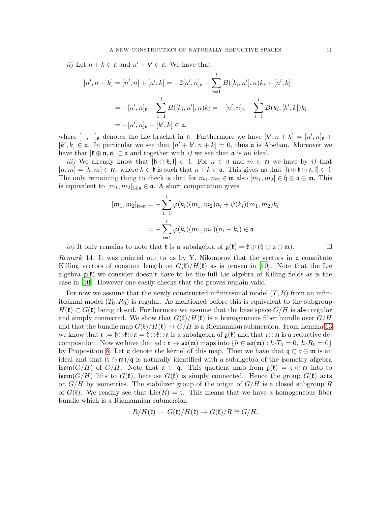*ii*) Let  $n + k \in \mathfrak{a}$  and  $n' + k' \in \mathfrak{a}$ . We have that

$$
[n', n+k] = [n', n] + [n', k] = -2[n', n]_{\mathfrak{n}} - \sum_{i=1}^{l} B([k_i, n'], n)k_i + [n', k]
$$
  

$$
= -[n', n]_{\mathfrak{n}} - \sum_{i=1}^{l} B([k_i, n'], n)k_i = -[n', n]_{\mathfrak{n}} - \sum_{i=1}^{l} B(k_i, [k', k])k_i
$$
  

$$
= -[n', n]_{\mathfrak{n}} - [k', k] \in \mathfrak{a},
$$

where  $[-,-]_n$  denotes the Lie bracket in n. Furthermore we have  $[k', n+k] = [n', n]_n +$  $[k',k] \in \mathfrak{a}$ . In particular we see that  $[n'+k',n+k] = 0$ , thus  $\mathfrak{a}$  is Abelian. Moreover we have that  $[\mathfrak{k} \oplus \mathfrak{n}, \mathfrak{a}] \subset \mathfrak{a}$  and together with i) we see that  $\mathfrak{a}$  is an ideal.

iii) We already know that  $[\mathfrak{h} \oplus \mathfrak{k},\mathfrak{l}] \subset \mathfrak{l}$ . For  $n \in \mathfrak{n}$  and  $m \in \mathfrak{m}$  we have by i) that  $[n, m] = [k, m] \in \mathfrak{m}$ , where  $k \in \mathfrak{k}$  is such that  $n + k \in \mathfrak{a}$ . This gives us that  $[\mathfrak{h} \oplus \mathfrak{k} \oplus \mathfrak{n}, \mathfrak{l}] \subset \mathfrak{l}$ . The only remaining thing to check is that for  $m_1, m_2 \in \mathfrak{m}$  also  $[m_1, m_2] \in \mathfrak{h} \oplus \mathfrak{a} \oplus \mathfrak{m}$ . This is equivalent to  $[m_1, m_2]_{\ell \oplus \mathfrak{n}} \in \mathfrak{a}$ . A short computation gives

$$
[m_1, m_2]_{\ell \oplus \mathfrak{n}} = -\sum_{i=1}^l \varphi(k_i)(m_1, m_2)n_i + \psi(k_i)(m_1, m_2)k_i
$$

$$
= -\sum_{i=1}^l \varphi(k_i)(m_1, m_2)(n_i + k_i) \in \mathfrak{a}.
$$

iv) It only remains to note that  $\mathfrak{k}$  is a subalgebra of  $\mathfrak{g}(\mathfrak{k}) = \mathfrak{k} \oplus (\mathfrak{h} \oplus \mathfrak{a} \oplus \mathfrak{m})$ .

*Remark* 14. It was pointed out to us by Y. Nikonorov that the vectors in  $\alpha$  constitute Killing vectors of constant length on  $G(\mathfrak{k})/H(\mathfrak{k})$  as is proven in [\[10\]](#page-22-10). Note that the Lie algebra  $g(\ell)$  we consider doesn't have to be the full Lie algebra of Killing fields as is the case in [\[10](#page-22-10)]. However one easily checks that the proves remain valid.

For now we assume that the newly constructed infinitesimal model  $(T, R)$  from an infinitesimal model  $(T_0, R_0)$  is regular. As mentioned before this is equivalent to the subgroup  $H(\mathfrak{k}) \subset G(\mathfrak{k})$  being closed. Furthermore we assume that the base space  $G/H$  is also regular and simply connected. We show that  $G(\mathfrak{k})/H(\mathfrak{k})$  is a homogeneous fiber bundle over  $G/H$ and that the bundle map  $G(\mathfrak{k})/H(\mathfrak{k}) \to G/H$  is a Riemannian submersion. From Lemma [13](#page-9-1) we know that  $\mathfrak{r} := \mathfrak{h} \oplus \mathfrak{k} \oplus \mathfrak{a} = \mathfrak{h} \oplus \mathfrak{k} \oplus \mathfrak{n}$  is a subalgebra of  $\mathfrak{g}(\mathfrak{k})$  and that  $\mathfrak{r} \oplus \mathfrak{m}$  is a reductive decomposition. Now we have that ad :  $\mathfrak{r} \to \mathfrak{so}(\mathfrak{m})$  maps into  $\{h \in \mathfrak{so}(\mathfrak{m}) : h \cdot T_0 = 0, h \cdot R_0 = 0\}$ by Proposition [8.](#page-5-1) Let q denote the kernel of this map. Then we have that  $\mathfrak{q} \subset \mathfrak{r} \oplus \mathfrak{m}$  is an ideal and that  $(\mathfrak{r} \oplus \mathfrak{m})/\mathfrak{q}$  is naturally identified with a subalgebra of the isometry algebra isom( $G/H$ ) of  $G/H$ . Note that  $\mathfrak{a} \subset \mathfrak{q}$ . This quotient map from  $\mathfrak{g}(\mathfrak{k}) = \mathfrak{r} \oplus \mathfrak{m}$  into to isom( $G/H$ ) lifts to  $G(\mathfrak{k})$ , because  $G(\mathfrak{k})$  is simply connected. Hence the group  $G(\mathfrak{k})$  acts on  $G/H$  by isometries. The stabilizer group of the origin of  $G/H$  is a closed subgroup R of  $G(\mathfrak{k})$ . We readily see that  $Lie(R) = \mathfrak{r}$ . This means that we have a homogeneous fiber bundle which is a Riemannian submersion

$$
R/H(\mathfrak{k})\longrightarrow G(\mathfrak{k})/H(\mathfrak{k})\longrightarrow G(\mathfrak{k})/R\cong G/H.
$$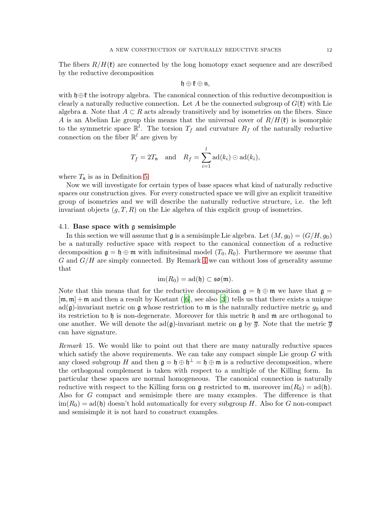The fibers  $R/H(\mathfrak{k})$  are connected by the long homotopy exact sequence and are described by the reductive decomposition

$$
\mathfrak{h}\oplus\mathfrak{k}\oplus\mathfrak{n},
$$

with  $\mathfrak{h} \oplus \mathfrak{k}$  the isotropy algebra. The canonical connection of this reductive decomposition is clearly a naturally reductive connection. Let A be the connected subgroup of  $G(\mathfrak{k})$  with Lie algebra **a**. Note that  $A \subset R$  acts already transitively and by isometries on the fibers. Since A is an Abelian Lie group this means that the universal cover of  $R/H(\mathfrak{k})$  is isomorphic to the symmetric space  $\mathbb{R}^l$ . The torsion  $T_f$  and curvature  $R_f$  of the naturally reductive connection on the fiber  $\mathbb{R}^l$  are given by

$$
T_f = 2T_n
$$
 and  $R_f = \sum_{i=1}^l \text{ad}(k_i) \odot \text{ad}(k_i),$ 

where  $T_n$  is as in Definition [5.](#page-4-1)

Now we will investigate for certain types of base spaces what kind of naturally reductive spaces our construction gives. For every constructed space we will give an explicit transitive group of isometries and we will describe the naturally reductive structure, i.e. the left invariant objects  $(q, T, R)$  on the Lie algebra of this explicit group of isometries.

### <span id="page-11-0"></span>4.1. Base space with g semisimple

In this section we will assume that  $\mathfrak g$  is a semisimple Lie algebra. Let  $(M, g_0) = (G/H, g_0)$ be a naturally reductive space with respect to the canonical connection of a reductive decomposition  $\mathfrak{g} = \mathfrak{h} \oplus \mathfrak{m}$  with infinitesimal model  $(T_0, R_0)$ . Furthermore we assume that  $G$  and  $G/H$  are simply connected. By Remark [4](#page-4-3) we can without loss of generality assume that

$$
\operatorname{im}(R_0)=\operatorname{ad}(\mathfrak{h})\subset\mathfrak{so}(\mathfrak{m}).
$$

Note that this means that for the reductive decomposition  $\mathfrak{g} = \mathfrak{h} \oplus \mathfrak{m}$  we have that  $\mathfrak{g} =$  $[m, m] + m$  and then a result by Kostant ([\[6\]](#page-22-11), see also [\[3](#page-22-12)]) tells us that there exists a unique  $ad(\mathfrak{g})$ -invariant metric on  $\mathfrak{g}$  whose restriction to  $\mathfrak{m}$  is the naturally reductive metric  $g_0$  and its restriction to h is non-degenerate. Moreover for this metric h and  $m$  are orthogonal to one another. We will denote the  $ad(\mathfrak{g})$ -invariant metric on  $\mathfrak{g}$  by  $\overline{g}$ . Note that the metric  $\overline{g}$ can have signature.

Remark 15. We would like to point out that there are many naturally reductive spaces which satisfy the above requirements. We can take any compact simple Lie group  $G$  with any closed subgroup H and then  $\mathfrak{g} = \mathfrak{h} \oplus \mathfrak{h}^{\perp} = \mathfrak{h} \oplus \mathfrak{m}$  is a reductive decomposition, where the orthogonal complement is taken with respect to a multiple of the Killing form. In particular these spaces are normal homogeneous. The canonical connection is naturally reductive with respect to the Killing form on g restricted to  $\mathfrak{m}$ , moreover  $\text{im}(R_0) = \text{ad}(\mathfrak{h})$ . Also for G compact and semisimple there are many examples. The difference is that  $\lim(R_0) = \text{ad}(\mathfrak{h})$  doesn't hold automatically for every subgroup H. Also for G non-compact and semisimple it is not hard to construct examples.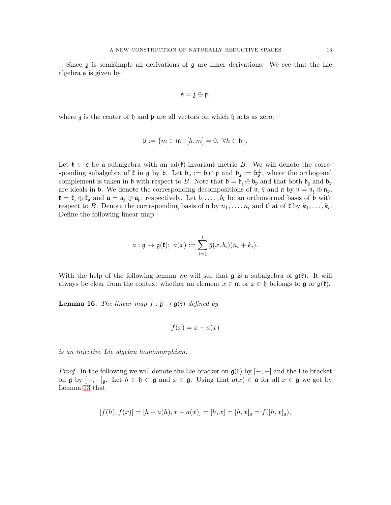Since  $\mathfrak g$  is semisimple all derivations of  $\mathfrak g$  are inner derivations. We see that the Lie algebra s is given by

$$
\mathfrak{s}=\mathfrak{z}\oplus\mathfrak{p},
$$

where  $\lambda$  is the center of  $\mathfrak h$  and  $\mathfrak p$  are all vectors on which  $\mathfrak h$  acts as zero:

$$
\mathfrak{p} := \{ m \in \mathfrak{m} : [h, m] = 0, \ \forall h \in \mathfrak{h} \}.
$$

Let  $\mathfrak{k} \subset \mathfrak{s}$  be a subalgebra with an ad( $\mathfrak{k}$ )-invariant metric B. We will denote the corresponding subalgebra of  $\mathfrak k$  in  $\mathfrak g$  by  $\mathfrak b$ . Let  $\mathfrak b_{\mathfrak p} := \mathfrak b \cap \mathfrak p$  and  $\mathfrak b_{\mathfrak z} := \mathfrak b_{\mathfrak p}^{\perp}$ , where the orthogonal complement is taken in b with respect to B. Note that  $\mathfrak{b} = \mathfrak{b}_{\mathfrak{z}} \oplus \mathfrak{b}_{\mathfrak{p}}$  and that both  $\mathfrak{b}_{\mathfrak{z}}$  and  $\mathfrak{b}_{\mathfrak{p}}$ are ideals in b. We denote the corresponding decompositions of  $\mathfrak n$ ,  $\mathfrak k$  and  $\mathfrak a$  by  $\mathfrak n = \mathfrak n$ <sub>3</sub>  $\oplus$   $\mathfrak n$ <sub>p</sub>,  $\mathfrak{k} = \mathfrak{k}_\mathfrak{z} \oplus \mathfrak{k}_\mathfrak{p}$  and  $\mathfrak{a} = \mathfrak{a}_\mathfrak{z} \oplus \mathfrak{a}_\mathfrak{p}$ , respectively. Let  $b_1, \ldots, b_l$  be an orthonormal basis of  $\mathfrak{b}$  with respect to B. Denote the corresponding basis of  $\mathfrak n$  by  $n_1, \ldots, n_l$  and that of  $\mathfrak k$  by  $k_1, \ldots, k_l$ . Define the following linear map

$$
a: \mathfrak{g} \to \mathfrak{g}(\mathfrak{k}); \ a(x) := \sum_{i=1}^l \overline{g}(x, b_i)(n_i + k_i).
$$

With the help of the following lemma we will see that  $\mathfrak g$  is a subalgebra of  $\mathfrak g(\mathfrak k)$ . It will always be clear from the context whether an element  $x \in \mathfrak{m}$  or  $x \in \mathfrak{h}$  belongs to g or  $\mathfrak{g}(\mathfrak{k})$ .

<span id="page-12-0"></span>**Lemma 16.** The linear map  $f : \mathfrak{g} \to \mathfrak{g}(\mathfrak{k})$  defined by

$$
f(x) = x - a(x)
$$

is an injective Lie algebra homomorphism.

*Proof.* In the following we will denote the Lie bracket on  $g(\mathfrak{k})$  by  $[-,-]$  and the Lie bracket on g by  $[-,-]_g$ . Let  $h \in \mathfrak{h} \subset \mathfrak{g}$  and  $x \in \mathfrak{g}$ . Using that  $a(x) \in \mathfrak{a}$  for all  $x \in \mathfrak{g}$  we get by Lemma [13](#page-9-1) that

$$
[f(h), f(x)] = [h - a(h), x - a(x)] = [h, x] = [h, x]_{\mathfrak{g}} = f([h, x]_{\mathfrak{g}}),
$$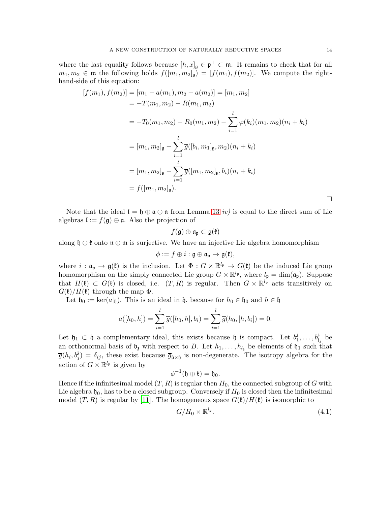where the last equality follows because  $[h, x]_g \in \mathfrak{p}^{\perp} \subset \mathfrak{m}$ . It remains to check that for all  $m_1, m_2 \in \mathfrak{m}$  the following holds  $f([m_1, m_2]_{\mathfrak{g}}) = [f(m_1), f(m_2)]$ . We compute the righthand-side of this equation:

$$
[f(m_1), f(m_2)] = [m_1 - a(m_1), m_2 - a(m_2)] = [m_1, m_2]
$$
  
=  $-T(m_1, m_2) - R(m_1, m_2)$   
=  $-T_0(m_1, m_2) - R_0(m_1, m_2) - \sum_{i=1}^l \varphi(k_i)(m_1, m_2)(n_i + k_i)$   
=  $[m_1, m_2]_{\mathfrak{g}} - \sum_{i=1}^l \overline{g}([b_i, m_1]_{\mathfrak{g}}, m_2)(n_i + k_i)$   
=  $[m_1, m_2]_{\mathfrak{g}} - \sum_{i=1}^l \overline{g}([m_1, m_2]_{\mathfrak{g}}, b_i)(n_i + k_i)$   
=  $f([m_1, m_2]_{\mathfrak{g}}).$ 

Note that the ideal  $\mathfrak{l} = \mathfrak{h} \oplus \mathfrak{a} \oplus \mathfrak{n}$  from Lemma [13](#page-9-1) iv) is equal to the direct sum of Lie algebras  $\mathfrak{l} := f(\mathfrak{g}) \oplus \mathfrak{a}$ . Also the projection of

$$
f(\mathfrak{g})\oplus \mathfrak{a}_{\mathfrak{p}}\subset \mathfrak{g}(\mathfrak{k})
$$

along  $\mathfrak{h} \oplus \mathfrak{k}$  onto  $\mathfrak{n} \oplus \mathfrak{m}$  is surjective. We have an injective Lie algebra homomorphism

$$
\phi:=f\oplus i:\mathfrak{g}\oplus\mathfrak{a}_{\mathfrak{p}}\to\mathfrak{g}(\mathfrak{k}),
$$

where  $i : \mathfrak{a}_{\mathfrak{p}} \to \mathfrak{g}(\mathfrak{k})$  is the inclusion. Let  $\Phi : G \times \mathbb{R}^{l_{\mathfrak{p}}} \to G(\mathfrak{k})$  be the induced Lie group homomorphism on the simply connected Lie group  $G \times \mathbb{R}^{l_p}$ , where  $l_p = \dim(\mathfrak{a}_p)$ . Suppose that  $H(\mathfrak{k}) \subset G(\mathfrak{k})$  is closed, i.e.  $(T, R)$  is regular. Then  $G \times \mathbb{R}^{l_{\mathfrak{p}}}$  acts transitively on  $G(\mathfrak{k})/H(\mathfrak{k})$  through the map  $\Phi$ .

Let  $\mathfrak{h}_0 := \ker(a|_{\mathfrak{h}})$ . This is an ideal in  $\mathfrak{h}$ , because for  $h_0 \in \mathfrak{h}_0$  and  $h \in \mathfrak{h}$ 

$$
a([h_0, h]) = \sum_{i=1}^l \overline{g}([h_0, h], b_i) = \sum_{i=1}^l \overline{g}(h_0, [h, b_i]) = 0.
$$

Let  $\mathfrak{h}_1 \subset \mathfrak{h}$  a complementary ideal, this exists because  $\mathfrak{h}$  is compact. Let  $b_1^3$  $i_1^3, \ldots, b_{l_3}^3$  be an orthonormal basis of  $\mathfrak{b}_3$  with respect to B. Let  $h_1, \ldots, h_{l_3}$  be elements of  $\mathfrak{h}_1$  such that  $\overline{g}(h_i, b_j) = \delta_{ij}$ , these exist because  $\overline{g}_{\mathfrak{h}\times\mathfrak{h}}$  is non-degenerate. The isotropy algebra for the action of  $G \times \mathbb{R}^{l_{\mathfrak{p}}}$  is given by

$$
\phi^{-1}(\mathfrak{h}\oplus\mathfrak{k})=\mathfrak{h}_0.
$$

Hence if the infinitesimal model  $(T, R)$  is regular then  $H_0$ , the connected subgroup of G with Lie algebra  $\mathfrak{h}_0$ , has to be a closed subgroup. Conversely if  $H_0$  is closed then the infinitesimal model  $(T, R)$  is regular by [\[11\]](#page-22-7). The homogeneous space  $G(\mathfrak{k})/H(\mathfrak{k})$  is isomorphic to

<span id="page-13-0"></span>
$$
G/H_0 \times \mathbb{R}^{l_{\mathfrak{p}}}.\tag{4.1}
$$

 $\Box$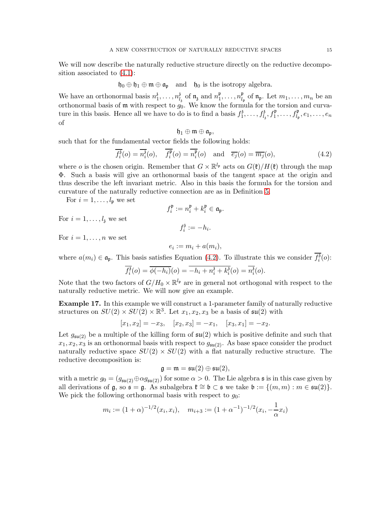We will now describe the naturally reductive structure directly on the reductive decomposition associated to [\(4.1\)](#page-13-0):

 $\mathfrak{h}_0 \oplus \mathfrak{h}_1 \oplus \mathfrak{m} \oplus \mathfrak{a}_{\mathfrak{p}}$  and  $\mathfrak{h}_0$  is the isotropy algebra.

We have an orthonormal basis  $n_1^3$  $\frac{3}{1}, \ldots, n_l^3$  $\frac{3}{l_3}$  of  $\mathfrak{n}_3$  and  $n_1^{\mathfrak{p}}$  $\frac{\mathfrak{p}}{1}, \ldots, n_{l_1}^{\mathfrak{p}}$  $\mathcal{L}_{l_{\mathfrak{p}}}^{\mathfrak{p}}$  of  $\mathfrak{n}_{\mathfrak{p}}$ . Let  $m_1, \ldots, m_n$  be an orthonormal basis of  $\mathfrak m$  with respect to  $g_0$ . We know the formula for the torsion and curvature in this basis. Hence all we have to do is to find a basis  $f_1^3$  $f_1^3, \ldots, f_{l_3}^3, f_1^{\mathfrak{p}}, \ldots, f_{l_{\mathfrak{p}}}^{\mathfrak{p}}, e_1, \ldots, e_n$ of

<span id="page-14-0"></span>
$$
\mathfrak{h}_1\oplus\mathfrak{m}\oplus\mathfrak{a}_\mathfrak{p},
$$

such that for the fundamental vector fields the following holds:

$$
\overline{f_i^3}(o) = \overline{n_i^3}(o), \quad \overline{f_i^{\mathfrak{p}}}(o) = \overline{n_i^{\mathfrak{p}}}(o) \quad \text{and} \quad \overline{e_j}(o) = \overline{m_j}(o), \tag{4.2}
$$

where *o* is the chosen origin. Remember that  $G \times \mathbb{R}^{l_p}$  acts on  $G(\mathfrak{k})/H(\mathfrak{k})$  through the map Φ. Such a basis will give an orthonormal basis of the tangent space at the origin and thus describe the left invariant metric. Also in this basis the formula for the torsion and curvature of the naturally reductive connection are as in Definition [5.](#page-4-1)

For  $i = 1, \ldots, l_{p}$  we set

$$
f_i^{\mathfrak{p}} := n_i^{\mathfrak{p}} + k_i^{\mathfrak{p}} \in \mathfrak{a}_{\mathfrak{p}}.
$$

For  $i = 1, \ldots, l_{3}$  we set

$$
f_i^{\mathfrak{z}} := -h_i.
$$

For  $i = 1, \ldots, n$  we set

$$
e_i := m_i + a(m_i),
$$

where  $a(m_i) \in \mathfrak{a}_{\mathfrak{p}}$ . This basis satisfies Equation [\(4.2\)](#page-14-0). To illustrate this we consider  $\overline{f_i^3}$  $\binom{3}{i}(0)$ :

$$
\overline{f_i^{\delta}}(o) = \overline{\phi(-h_i)}(o) = \overline{-h_i + n_i^{\delta} + k_i^{\delta}}(o) = \overline{n_i^{\delta}}(o).
$$

Note that the two factors of  $G/H_0 \times \mathbb{R}^{l_p}$  are in general not orthogonal with respect to the naturally reductive metric. We will now give an example.

Example 17. In this example we will construct a 1-parameter family of naturally reductive structures on  $SU(2) \times SU(2) \times \mathbb{R}^3$ . Let  $x_1, x_2, x_3$  be a basis of  $\mathfrak{su}(2)$  with

$$
[x_1, x_2] = -x_3
$$
,  $[x_2, x_3] = -x_1$ ,  $[x_3, x_1] = -x_2$ .

Let  $g_{\mathfrak{su}(2)}$  be a multiple of the killing form of  $\mathfrak{su}(2)$  which is positive definite and such that  $x_1, x_2, x_3$  is an orthonormal basis with respect to  $g_{\mathfrak{su}(2)}$ . As base space consider the product naturally reductive space  $SU(2) \times SU(2)$  with a flat naturally reductive structure. The reductive decomposition is:

$$
\mathfrak{g}=\mathfrak{m}=\mathfrak{su}(2)\oplus\mathfrak{su}(2),
$$

with a metric  $g_0 = (g_{\mathfrak{su}(2)} \oplus \alpha g_{\mathfrak{su}(2)})$  for some  $\alpha > 0$ . The Lie algebra s is in this case given by all derivations of  $\mathfrak{g}$ , so  $\mathfrak{s} = \mathfrak{g}$ . As subalgebra  $\mathfrak{k} \cong \mathfrak{b} \subset \mathfrak{s}$  we take  $\mathfrak{b} := \{(m, m) : m \in \mathfrak{su}(2)\}.$ We pick the following orthonormal basis with respect to  $g_0$ :

$$
m_i := (1 + \alpha)^{-1/2} (x_i, x_i), \quad m_{i+3} := (1 + \alpha^{-1})^{-1/2} (x_i, -\frac{1}{\alpha} x_i)
$$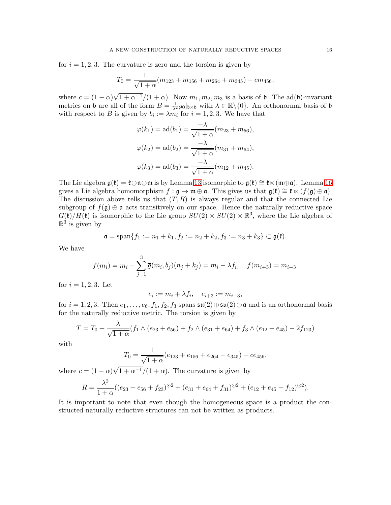for  $i = 1, 2, 3$ . The curvature is zero and the torsion is given by

$$
T_0 = \frac{1}{\sqrt{1+\alpha}}(m_{123} + m_{156} + m_{264} + m_{345}) - cm_{456},
$$

where  $c = (1 - \alpha)\sqrt{1 + \alpha^{-1}}/(1 + \alpha)$ . Now  $m_1, m_2, m_3$  is a basis of b. The ad(b)-invariant metrics on b are all of the form  $B = \frac{1}{\lambda^2} g_0|_{\mathfrak{b} \times \mathfrak{b}}$  with  $\lambda \in \mathbb{R} \setminus \{0\}$ . An orthonormal basis of b with respect to B is given by  $b_i := \lambda m_i$  for  $i = 1, 2, 3$ . We have that

$$
\varphi(k_1) = \text{ad}(b_1) = \frac{-\lambda}{\sqrt{1+\alpha}} (m_{23} + m_{56}),
$$
  

$$
\varphi(k_2) = \text{ad}(b_2) = \frac{-\lambda}{\sqrt{1+\alpha}} (m_{31} + m_{64}),
$$
  

$$
\varphi(k_3) = \text{ad}(b_3) = \frac{-\lambda}{\sqrt{1+\alpha}} (m_{12} + m_{45}).
$$

The Lie algebra  $\mathfrak{g}(\mathfrak{k}) = \mathfrak{k} \oplus \mathfrak{n} \oplus \mathfrak{m}$  is by Lemma [13](#page-9-1) isomorphic to  $\mathfrak{g}(\mathfrak{k}) \cong \mathfrak{k} \ltimes (\mathfrak{m} \oplus \mathfrak{a})$ . Lemma [16](#page-12-0) gives a Lie algebra homomorphism  $f : \mathfrak{g} \to \mathfrak{m} \oplus \mathfrak{a}$ . This gives us that  $\mathfrak{g}(\mathfrak{k}) \cong \mathfrak{k} \ltimes (f(\mathfrak{g}) \oplus \mathfrak{a})$ . The discussion above tells us that  $(T, R)$  is always regular and that the connected Lie subgroup of  $f(\mathfrak{g}) \oplus \mathfrak{a}$  acts transitively on our space. Hence the naturally reductive space  $G(\mathfrak{k})/H(\mathfrak{k})$  is isomorphic to the Lie group  $SU(2) \times SU(2) \times \mathbb{R}^3$ , where the Lie algebra of  $\mathbb{R}^3$  is given by

$$
\mathfrak{a} = \text{span}\{f_1 := n_1 + k_1, f_2 := n_2 + k_2, f_3 := n_3 + k_3\} \subset \mathfrak{g}(\mathfrak{k}).
$$

We have

$$
f(m_i) = m_i - \sum_{j=1}^{3} \overline{g}(m_i, b_j)(n_j + k_j) = m_i - \lambda f_i, \quad f(m_{i+3}) = m_{i+3}.
$$

for  $i = 1, 2, 3$ . Let

$$
e_i := m_i + \lambda f_i, \quad e_{i+3} := m_{i+3},
$$

for  $i = 1, 2, 3$ . Then  $e_1, \ldots, e_6, f_1, f_2, f_3$  spans  $\mathfrak{su}(2) \oplus \mathfrak{su}(2) \oplus \mathfrak{a}$  and is an orthonormal basis for the naturally reductive metric. The torsion is given by

$$
T = T_0 + \frac{\lambda}{\sqrt{1 + \alpha}} (f_1 \wedge (e_{23} + e_{56}) + f_2 \wedge (e_{31} + e_{64}) + f_3 \wedge (e_{12} + e_{45}) - 2f_{123})
$$

with

$$
T_0 = \frac{1}{\sqrt{1+\alpha}}(e_{123} + e_{156} + e_{264} + e_{345}) - ce_{456},
$$

where  $c = (1 - \alpha)\sqrt{1 + \alpha^{-1}}/(1 + \alpha)$ . The curvature is given by

$$
R = \frac{\lambda^2}{1+\alpha}((e_{23} + e_{56} + f_{23})^{\odot 2} + (e_{31} + e_{64} + f_{31})^{\odot 2} + (e_{12} + e_{45} + f_{12})^{\odot 2}).
$$

It is important to note that even though the homogeneous space is a product the constructed naturally reductive structures can not be written as products.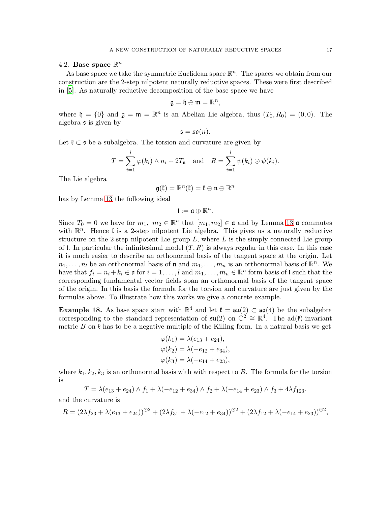# <span id="page-16-1"></span>4.2. Base space  $\mathbb{R}^n$

As base space we take the symmetric Euclidean space  $\mathbb{R}^n$ . The spaces we obtain from our construction are the 2-step nilpotent naturally reductive spaces. These were first described in [\[5](#page-22-6)]. As naturally reductive decomposition of the base space we have

$$
\mathfrak{g}=\mathfrak{h}\oplus\mathfrak{m}=\mathbb{R}^n
$$

,

where  $\mathfrak{h} = \{0\}$  and  $\mathfrak{g} = \mathfrak{m} = \mathbb{R}^n$  is an Abelian Lie algebra, thus  $(T_0, R_0) = (0, 0)$ . The algebra s is given by

$$
\mathfrak{s}=\mathfrak{so}(n).
$$

Let  $\mathfrak{k} \subset \mathfrak{s}$  be a subalgebra. The torsion and curvature are given by

$$
T = \sum_{i=1}^{l} \varphi(k_i) \wedge n_i + 2T_{\mathfrak{n}} \quad \text{and} \quad R = \sum_{i=1}^{l} \psi(k_i) \odot \psi(k_i).
$$

The Lie algebra

$$
\mathfrak{g}(\mathfrak{k})=\mathbb{R}^n(\mathfrak{k})=\mathfrak{k}\oplus\mathfrak{n}\oplus\mathbb{R}^n
$$

has by Lemma [13](#page-9-1) the following ideal

$$
\mathfrak{l}:=\mathfrak{a}\oplus\mathbb{R}^n.
$$

Since  $T_0 = 0$  we have for  $m_1, m_2 \in \mathbb{R}^n$  that  $[m_1, m_2] \in \mathfrak{a}$  and by Lemma [13](#page-9-1)  $\mathfrak{a}$  commutes with  $\mathbb{R}^n$ . Hence I is a 2-step nilpotent Lie algebra. This gives us a naturally reductive structure on the 2-step nilpotent Lie group  $L$ , where  $L$  is the simply connected Lie group of l. In particular the infinitesimal model  $(T, R)$  is always regular in this case. In this case it is much easier to describe an orthonormal basis of the tangent space at the origin. Let  $n_1, \ldots, n_l$  be an orthonormal basis of **n** and  $m_1, \ldots, m_n$  is an orthonormal basis of  $\mathbb{R}^n$ . We have that  $f_i = n_i + k_i \in \mathfrak{a}$  for  $i = 1, ..., l$  and  $m_1, ..., m_n \in \mathbb{R}^n$  form basis of l such that the corresponding fundamental vector fields span an orthonormal basis of the tangent space of the origin. In this basis the formula for the torsion and curvature are just given by the formulas above. To illustrate how this works we give a concrete example.

<span id="page-16-0"></span>**Example 18.** As base space start with  $\mathbb{R}^4$  and let  $\mathfrak{k} = \mathfrak{su}(2) \subset \mathfrak{so}(4)$  be the subalgebra corresponding to the standard representation of  $\mathfrak{su}(2)$  on  $\mathbb{C}^2 \cong \mathbb{R}^4$ . The ad( $\mathfrak{k}$ )-invariant metric B on  $\mathfrak k$  has to be a negative multiple of the Killing form. In a natural basis we get

$$
\varphi(k_1) = \lambda(e_{13} + e_{24}),
$$
  
\n
$$
\varphi(k_2) = \lambda(-e_{12} + e_{34}),
$$
  
\n
$$
\varphi(k_3) = \lambda(-e_{14} + e_{23}),
$$

where  $k_1, k_2, k_3$  is an orthonormal basis with with respect to B. The formula for the torsion is

$$
T = \lambda(e_{13} + e_{24}) \wedge f_1 + \lambda(-e_{12} + e_{34}) \wedge f_2 + \lambda(-e_{14} + e_{23}) \wedge f_3 + 4\lambda f_{123}.
$$

and the curvature is

$$
R = (2\lambda f_{23} + \lambda (e_{13} + e_{24}))^{\odot 2} + (2\lambda f_{31} + \lambda (-e_{12} + e_{34}))^{\odot 2} + (2\lambda f_{12} + \lambda (-e_{14} + e_{23}))^{\odot 2},
$$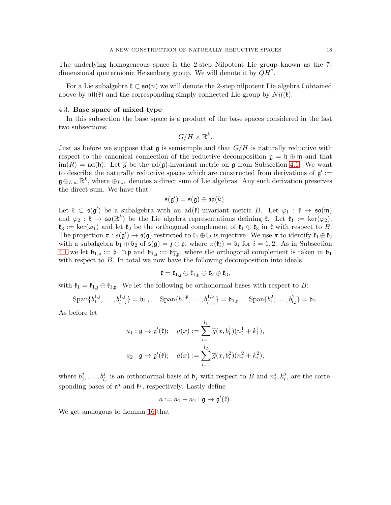The underlying homogeneous space is the 2-step Nilpotent Lie group known as the 7 dimensional quaternionic Heisenberg group. We will denote it by  $QH^7$ .

For a Lie subalgebra  $\mathfrak{k} \subset \mathfrak{so}(n)$  we will denote the 2-step nilpotent Lie algebra l obtained above by  $\pi i f(\mathfrak{k})$  and the corresponding simply connected Lie group by  $Nil(\mathfrak{k})$ .

### 4.3. Base space of mixed type

In this subsection the base space is a product of the base spaces considered in the last two subsections:

 $G/H\times\mathbb{R}^k$ .

Just as before we suppose that  $\mathfrak{g}$  is semisimple and that  $G/H$  is naturally reductive with respect to the canonical connection of the reductive decomposition  $\mathfrak{g} = \mathfrak{h} \oplus \mathfrak{m}$  and that  $\text{im}(R) = \text{ad}(\mathfrak{h})$ . Let  $\overline{g}$  be the  $\text{ad}(\mathfrak{g})$ -invariant metric on  $\mathfrak{g}$  from Subsection [4.1.](#page-11-0) We want to describe the naturally reductive spaces which are constructed from derivations of  $\mathfrak{g}'$  :=  $\mathfrak{g} \oplus_{L,a} \mathbb{R}^k$ , where  $\oplus_{L,a}$  denotes a direct sum of Lie algebras. Any such derivation preserves the direct sum. We have that

$$
\mathfrak{s}(\mathfrak{g}')=\mathfrak{s}(\mathfrak{g})\oplus\mathfrak{so}(k).
$$

Let  $\mathfrak{k} \subset \mathfrak{s}(\mathfrak{g}')$  be a subalgebra with an ad $(\mathfrak{k})$ -invariant metric B. Let  $\varphi_1 : \mathfrak{k} \to \mathfrak{so}(\mathfrak{m})$ and  $\varphi_2 : \mathfrak{k} \to \mathfrak{so}(\mathbb{R}^k)$  be the Lie algebra representations defining  $\mathfrak{k}$ . Let  $\mathfrak{k}_1 := \text{ker}(\varphi_2)$ ,  $\mathfrak{k}_3 := \ker(\varphi_1)$  and let  $\mathfrak{k}_2$  be the orthogonal complement of  $\mathfrak{k}_1 \oplus \mathfrak{k}_3$  in  $\mathfrak{k}$  with respect to B. The projection  $\pi : s(\mathfrak{g}') \to s(\mathfrak{g})$  restricted to  $\mathfrak{k}_1 \oplus \mathfrak{k}_2$  is injective. We use  $\pi$  to identify  $\mathfrak{k}_1 \oplus \mathfrak{k}_2$ with a subalgebra  $\mathfrak{b}_1 \oplus \mathfrak{b}_2$  of  $\mathfrak{s}(\mathfrak{g}) = \mathfrak{z} \oplus \mathfrak{p}$ , where  $\pi(\mathfrak{k}_i) = \mathfrak{b}_i$  for  $i = 1, 2$ . As in Subsection [4.1](#page-11-0) we let  $\mathfrak{b}_{1,\mathfrak{p}} := \mathfrak{b}_1 \cap \mathfrak{p}$  and  $\mathfrak{b}_{1,\mathfrak{z}} := \mathfrak{b}_{1,\mathfrak{p}}^{\perp}$ , where the orthogonal complement is taken in  $\mathfrak{b}_1$ with respect to B. In total we now have the following decomposition into ideals

$$
\mathfrak{k}=\mathfrak{k}_{1,\mathfrak{z}}\oplus\mathfrak{k}_{1,\mathfrak{p}}\oplus\mathfrak{k}_2\oplus\mathfrak{k}_3,
$$

with  $\mathfrak{k}_1 = \mathfrak{k}_{1,\mathfrak{z}} \oplus \mathfrak{k}_{1,\mathfrak{p}}$ . We let the following be orthonormal bases with respect to B:

$$
\text{Span}\{b_1^{1,3},\ldots,b_{l_{1,3}}^{1,3}\}=\mathfrak{b}_{1,3},\quad \text{Span}\{b_1^{1,\mathfrak{p}},\ldots,b_{l_{1,\mathfrak{p}}}^{1,\mathfrak{p}}\}=\mathfrak{b}_{1,\mathfrak{p}},\quad \text{Span}\{b_1^{2},\ldots,b_{l_2}^{2}\}=\mathfrak{b}_2.
$$

As before let

$$
a_1 : \mathfrak{g} \to \mathfrak{g}'(\mathfrak{k}); \quad a(x) := \sum_{i=1}^{l_1} \overline{g}(x, b_i^1)(n_i^1 + k_i^1),
$$

$$
a_2 : \mathfrak{g} \to \mathfrak{g}'(\mathfrak{k}); \quad a(x) := \sum_{i=1}^{l_2} \overline{g}(x, b_i^2)(n_i^2 + k_i^2),
$$

where  $b_1^j$  $i_1^j, \ldots, b_{l_j}^j$  is an orthonormal basis of  $\mathfrak{b}_j$  with respect to B and  $n_i^j$  $i, k_i^j$ , are the corresponding bases of  $\mathfrak{n}^j$  and  $\mathfrak{k}^j$ , respectively. Lastly define

$$
a:=a_1+a_2:\mathfrak{g}\to\mathfrak{g}'(\mathfrak{k}).
$$

We get analogous to Lemma [16](#page-12-0) that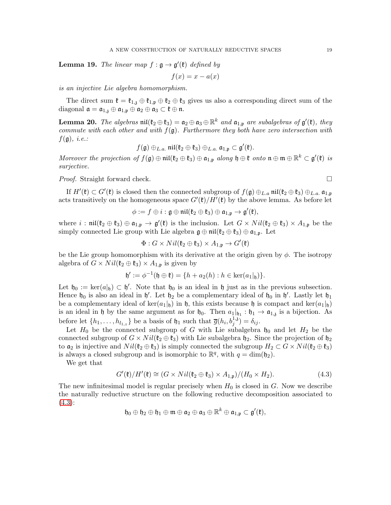**Lemma 19.** The linear map  $f : \mathfrak{g} \to \mathfrak{g}'(\mathfrak{k})$  defined by

$$
f(x) = x - a(x)
$$

is an injective Lie algebra homomorphism.

The direct sum  $\mathfrak{k} = \mathfrak{k}_{1,\mathfrak{z}} \oplus \mathfrak{k}_{1,\mathfrak{p}} \oplus \mathfrak{k}_2 \oplus \mathfrak{k}_3$  gives us also a corresponding direct sum of the diagonal  $\mathfrak{a} = \mathfrak{a}_{1,3} \oplus \mathfrak{a}_{1,\mathfrak{p}} \oplus \mathfrak{a}_2 \oplus \mathfrak{a}_3 \subset \mathfrak{k} \oplus \mathfrak{n}.$ 

<span id="page-18-1"></span>**Lemma 20.** The algebras  $\text{nil}(\mathfrak{k}_2 \oplus \mathfrak{k}_3) = \mathfrak{a}_2 \oplus \mathfrak{a}_3 \oplus \mathbb{R}^k$  and  $\mathfrak{a}_{1,\mathfrak{p}}$  are subalgebras of  $\mathfrak{g}'(\mathfrak{k})$ , they commute with each other and with  $f(\mathfrak{g})$ . Furthermore they both have zero intersection with  $f(\mathfrak{g}),$  *i.e.*:

$$
f(\mathfrak{g}) \oplus_{L.a.} \mathfrak{nil}(\mathfrak{k}_2 \oplus \mathfrak{k}_3) \oplus_{L.a.} \mathfrak{a}_{1,\mathfrak{p}} \subset \mathfrak{g}'(\mathfrak{k}).
$$

Moreover the projection of  $f(\mathfrak{g}) \oplus \mathfrak{nil}(\mathfrak{k}_2 \oplus \mathfrak{k}_3) \oplus \mathfrak{a}_{1,\mathfrak{p}}$  along  $\mathfrak{h} \oplus \mathfrak{k}$  onto  $\mathfrak{n} \oplus \mathfrak{m} \oplus \mathbb{R}^k \subset \mathfrak{g}'(\mathfrak{k})$  is surjective.

*Proof.* Straight forward check. □

If  $H'(\mathfrak{k}) \subset G'(\mathfrak{k})$  is closed then the connected subgroup of  $f(\mathfrak{g}) \oplus_{L,a} \mathfrak{nil}(\mathfrak{k}_2 \oplus \mathfrak{k}_3) \oplus_{L,a} \mathfrak{a}_{1,\mathfrak{p}}$ acts transitively on the homogeneous space  $G'(\mathfrak{k})/H'(\mathfrak{k})$  by the above lemma. As before let

$$
\phi:=f\oplus i: \mathfrak{g}\oplus \mathfrak{nil}(\mathfrak{k}_2\oplus \mathfrak{k}_3)\oplus \mathfrak{a}_{1,\mathfrak{p}}\rightarrow \mathfrak{g}'(\mathfrak{k}),
$$

where  $i : \mathfrak{nil}(\mathfrak{k}_2 \oplus \mathfrak{k}_3) \oplus \mathfrak{a}_{1,\mathfrak{p}} \to \mathfrak{g}'(\mathfrak{k})$  is the inclusion. Let  $G \times Nil(\mathfrak{k}_2 \oplus \mathfrak{k}_3) \times A_{1,\mathfrak{p}}$  be the simply connected Lie group with Lie algebra  $\mathfrak{g} \oplus \mathfrak{nil}(\mathfrak{k}_2 \oplus \mathfrak{k}_3) \oplus \mathfrak{a}_{1,\mathfrak{p}}$ . Let

$$
\Phi: G\times Nil(\mathfrak{k}_2\oplus\mathfrak{k}_3)\times A_{1,\mathfrak{p}}\to G'(\mathfrak{k})
$$

be the Lie group homomorphism with its derivative at the origin given by  $\phi$ . The isotropy algebra of  $G \times Nil(\mathfrak{k}_2 \oplus \mathfrak{k}_3) \times A_{1,\mathfrak{p}}$  is given by

$$
\mathfrak{h}':=\phi^{-1}(\mathfrak{h}\oplus \mathfrak{k})=\{h+a_2(h): h\in \ker(a_1|_{\mathfrak{h}})\}.
$$

Let  $\mathfrak{h}_0 := \ker(a|_{\mathfrak{h}}) \subset \mathfrak{h}'$ . Note that  $\mathfrak{h}_0$  is an ideal in  $\mathfrak{h}$  just as in the previous subsection. Hence  $\mathfrak{h}_0$  is also an ideal in  $\mathfrak{h}'$ . Let  $\mathfrak{h}_2$  be a complementary ideal of  $\mathfrak{h}_0$  in  $\mathfrak{h}'$ . Lastly let  $\mathfrak{h}_1$ be a complementary ideal of ker $(a_1|_h)$  in h, this exists because h is compact and ker $(a_1|_h)$ is an ideal in h by the same argument as for  $\mathfrak{h}_0$ . Then  $a_1|_{\mathfrak{h}_1} : \mathfrak{h}_1 \to \mathfrak{a}_{1,3}$  is a bijection. As before let  $\{h_1, \ldots, h_{l_{1,z}}\}$  be a basis of  $\mathfrak{h}_1$  such that  $\overline{g}(h_i, b_j^{1,3}) = \delta_{ij}$ .

Let  $H_0$  be the connected subgroup of G with Lie subalgebra  $\mathfrak{h}_0$  and let  $H_2$  be the connected subgroup of  $G \times Nil(\mathfrak{k}_2 \oplus \mathfrak{k}_3)$  with Lie subalgebra  $\mathfrak{h}_2$ . Since the projection of  $\mathfrak{h}_2$ to  $\mathfrak{a}_2$  is injective and  $Nil(\mathfrak{k}_2 \oplus \mathfrak{k}_3)$  is simply connected the subgroup  $H_2 \subset G \times Nil(\mathfrak{k}_2 \oplus \mathfrak{k}_3)$ is always a closed subgroup and is isomorphic to  $\mathbb{R}^q$ , with  $q = \dim(\mathfrak{h}_2)$ .

We get that

<span id="page-18-0"></span>
$$
G'(\mathfrak{k})/H'(\mathfrak{k}) \cong (G \times Nil(\mathfrak{k}_2 \oplus \mathfrak{k}_3) \times A_{1,\mathfrak{p}})/(H_0 \times H_2). \tag{4.3}
$$

The new infinitesimal model is regular precisely when  $H_0$  is closed in  $G$ . Now we describe the naturally reductive structure on the following reductive decomposition associated to [\(4.3\)](#page-18-0):

$$
\mathfrak{h}_0\oplus\mathfrak{h}_2\oplus\mathfrak{h}_1\oplus\mathfrak{m}\oplus\mathfrak{a}_2\oplus\mathfrak{a}_3\oplus\mathbb{R}^k\oplus\mathfrak{a}_{1,\mathfrak{p}}\subset\mathfrak{g}'(\mathfrak{k}),
$$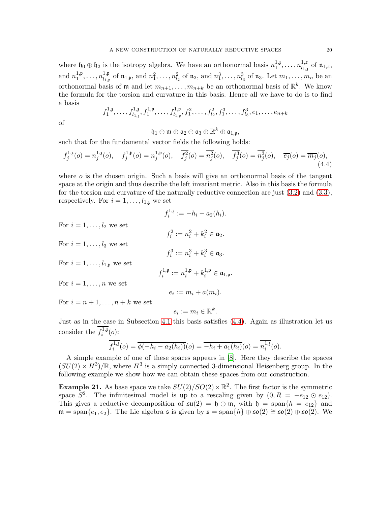where  $\mathfrak{h}_0 \oplus \mathfrak{h}_2$  is the isotropy algebra. We have an orthonormal basis  $n_1^{1,3}$  $1,3, \ldots, n^{1,z}_{l_{1,j}}$  $\frac{1,z}{l_{1,z}}$  of  $\mathfrak{n}_{1,z}$ , and  $n_1^{1,\mathfrak{p}}$  $1,\mathfrak{p},\ldots,n_{l_{1,\mathfrak{n}}}^{1,\mathfrak{p}}$  $n_1^1, p$  of  $\mathfrak{n}_{1,p}$ , and  $n_1^2, \ldots, n_{l_2}^2$  of  $\mathfrak{n}_2$ , and  $n_1^3, \ldots, n_{l_3}^3$  of  $\mathfrak{n}_3$ . Let  $m_1, \ldots, m_n$  be an orthonormal basis of  $\mathfrak{m}$  and let  $m_{n+1}, \ldots, m_{n+k}$  be an orthonormal basis of  $\mathbb{R}^k$ . We know the formula for the torsion and curvature in this basis. Hence all we have to do is to find a basis

$$
f_1^{1,3}, \ldots, f_{l_{1,3}}^{1,3}, f_1^{1,p}, \ldots, f_{l_{1,p}}^{1,p}, f_1^2, \ldots, f_{l_2}^2, f_1^3, \ldots, f_{l_3}^3, e_1, \ldots, e_{n+k}
$$

of

 $\mathfrak{h}_1\oplus\mathfrak{m}\oplus\mathfrak{a}_2\oplus\mathfrak{a}_3\oplus\mathbb{R}^k\oplus\mathfrak{a}_{1,\mathfrak{p}},$ 

such that for the fundamental vector fields the following holds:

$$
\overline{f_j^{1,3}}(o) = \overline{n_j^{1,3}}(o), \quad \overline{f_j^{1,3}}(o) = \overline{n_j^{1,3}}(o), \quad \overline{f_j^{2}}(o) = \overline{n_j^{2}}(o), \quad \overline{f_j^{3}}(o) = \overline{n_j^{3}}(o), \quad \overline{e_j}(o) = \overline{m_j}(o), \tag{4.4}
$$

where  $\sigma$  is the chosen origin. Such a basis will give an orthonormal basis of the tangent space at the origin and thus describe the left invariant metric. Also in this basis the formula for the torsion and curvature of the naturally reductive connection are just [\(3.2\)](#page-4-2) and [\(3.3\)](#page-5-2), respectively. For  $i = 1, \ldots, l_{1,3}$  we set

<span id="page-19-0"></span>
$$
f_i^{1,3} := -h_i - a_2(h_i).
$$

 $f_i^2 := n_i^2 + k_i^2 \in \mathfrak{a}_2.$ 

 $f_i^3 := n_i^3 + k_i^3 \in \mathfrak{a}_3.$ 

For  $i = 1, \ldots, l_2$  we set

For  $i = 1, \ldots, l_3$  we set

For  $i = 1, \ldots, l_{1,p}$  we set

$$
f_i^{1,\mathfrak{p}}:=n_i^{1,\mathfrak{p}}+k_i^{1,\mathfrak{p}}\in \mathfrak{a}_{1,\mathfrak{p}}.
$$

For  $i = 1, \ldots, n$  we set

$$
e_i := m_i + a(m_i).
$$

For  $i = n + 1, \ldots, n + k$  we set

$$
e_i := m_i \in \mathbb{R}^k.
$$

Just as in the case in Subsection [4.1](#page-11-0) this basis satisfies [\(4.4\)](#page-19-0). Again as illustration let us consider the  $f_i^{1,3}$  $\binom{1}{i}$   $\binom{0}{i}$ :

$$
\overline{f_i^{1,3}}(o) = \overline{\phi(-h_i - a_2(h_i))}(o) = \overline{-h_i + a_1(h_i)}(o) = \overline{n_i^{1,3}}(o).
$$

A simple example of one of these spaces appears in [\[8\]](#page-22-4). Here they describe the spaces  $(SU(2) \times H^3)/\mathbb{R}$ , where  $H^3$  is a simply connected 3-dimensional Heisenberg group. In the following example we show how we can obtain these spaces from our construction.

**Example 21.** As base space we take  $SU(2)/SO(2) \times \mathbb{R}^2$ . The first factor is the symmetric space  $S^2$ . The infinitesimal model is up to a rescaling given by  $(0, R = -e_{12} \odot e_{12})$ . This gives a reductive decomposition of  $\mathfrak{su}(2) = \mathfrak{h} \oplus \mathfrak{m}$ , with  $\mathfrak{h} = \text{span}\{h = e_{12}\}\$  and  $\mathfrak{m} = \text{span}\{e_1, e_2\}.$  The Lie algebra  $\mathfrak{s}$  is given by  $\mathfrak{s} = \text{span}\{h\} \oplus \mathfrak{so}(2) \cong \mathfrak{so}(2) \oplus \mathfrak{so}(2).$  We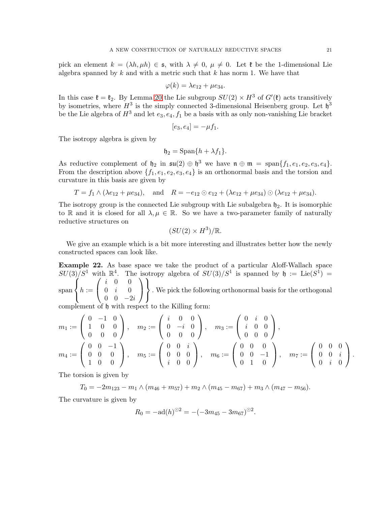pick an element  $k = (\lambda h, \mu h) \in \mathfrak{s}$ , with  $\lambda \neq 0, \mu \neq 0$ . Let  $\mathfrak{k}$  be the 1-dimensional Lie algebra spanned by  $k$  and with a metric such that  $k$  has norm 1. We have that

$$
\varphi(k) = \lambda e_{12} + \mu e_{34}.
$$

In this case  $\mathfrak{k} = \mathfrak{k}_2$ . By Lemma [20](#page-18-1) the Lie subgroup  $SU(2) \times H^3$  of  $G'(\mathfrak{k})$  acts transitively by isometries, where  $H^3$  is the simply connected 3-dimensional Heisenberg group. Let  $\mathfrak{h}^3$ be the Lie algebra of  $H^3$  and let  $e_3, e_4, f_1$  be a basis with as only non-vanishing Lie bracket

$$
[e_3,e_4]=-\mu f_1.
$$

The isotropy algebra is given by

$$
\mathfrak{h}_2 = \mathrm{Span}\{h + \lambda f_1\}.
$$

As reductive complement of  $\mathfrak{h}_2$  in  $\mathfrak{su}(2) \oplus \mathfrak{h}^3$  we have  $\mathfrak{n} \oplus \mathfrak{m} = \text{span}\{f_1, e_1, e_2, e_3, e_4\}.$ From the description above  $\{f_1, e_1, e_2, e_3, e_4\}$  is an orthonormal basis and the torsion and curvature in this basis are given by

$$
T = f_1 \wedge (\lambda e_{12} + \mu e_{34}),
$$
 and  $R = -e_{12} \odot e_{12} + (\lambda e_{12} + \mu e_{34}) \odot (\lambda e_{12} + \mu e_{34}).$ 

The isotropy group is the connected Lie subgroup with Lie subalgebra  $\mathfrak{h}_2$ . It is isomorphic to R and it is closed for all  $\lambda, \mu \in \mathbb{R}$ . So we have a two-parameter family of naturally reductive structures on

$$
(SU(2) \times H^3)/\mathbb{R}.
$$

We give an example which is a bit more interesting and illustrates better how the newly constructed spaces can look like.

<span id="page-20-0"></span>Example 22. As base space we take the product of a particular Aloff-Wallach space  $SU(3)/S^1$  with  $\mathbb{R}^4$ . The isotropy algebra of  $SU(3)/S^1$  is spanned by  $\mathfrak{h} := \text{Lie}(S^1) =$ span  $\sqrt{ }$  $\left\vert \right\vert$  $\mathcal{L}$  $h :=$  $\sqrt{ }$  $\mathcal{L}$ i 0 0  $0 \quad i \quad 0$  $\begin{array}{cc} 0 & 0 & -2i \end{array}$  $\setminus$  $\overline{1}$  $\mathcal{L}$  $\mathcal{L}$ J . We pick the following orthonormal basis for the orthogonal

complement of h with respect to the Killing form:

$$
m_1 := \begin{pmatrix} 0 & -1 & 0 \\ 1 & 0 & 0 \\ 0 & 0 & 0 \end{pmatrix}, \quad m_2 := \begin{pmatrix} i & 0 & 0 \\ 0 & -i & 0 \\ 0 & 0 & 0 \end{pmatrix}, \quad m_3 := \begin{pmatrix} 0 & i & 0 \\ i & 0 & 0 \\ 0 & 0 & 0 \end{pmatrix},
$$

$$
m_4 := \begin{pmatrix} 0 & 0 & -1 \\ 0 & 0 & 0 \\ 1 & 0 & 0 \end{pmatrix}, \quad m_5 := \begin{pmatrix} 0 & 0 & i \\ 0 & 0 & 0 \\ i & 0 & 0 \end{pmatrix}, \quad m_6 := \begin{pmatrix} 0 & 0 & 0 \\ 0 & 0 & -1 \\ 0 & 1 & 0 \end{pmatrix}, \quad m_7 := \begin{pmatrix} 0 & 0 & 0 \\ 0 & 0 & i \\ 0 & i & 0 \end{pmatrix}.
$$

The torsion is given by

$$
T_0 = -2m_{123} - m_1 \wedge (m_{46} + m_{57}) + m_2 \wedge (m_{45} - m_{67}) + m_3 \wedge (m_{47} - m_{56}).
$$

The curvature is given by

$$
R_0 = -\mathrm{ad}(h)^{\odot 2} = -(-3m_{45} - 3m_{67})^{\odot 2}.
$$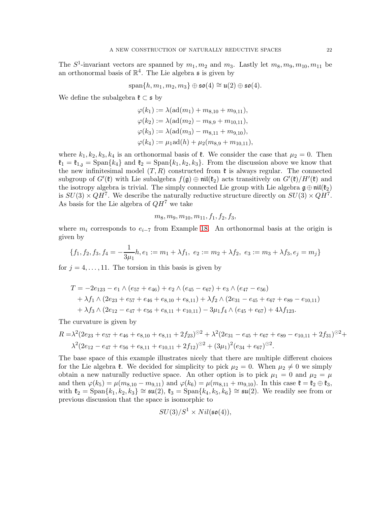The  $S^1$ -invariant vectors are spanned by  $m_1, m_2$  and  $m_3$ . Lastly let  $m_8, m_9, m_{10}, m_{11}$  be an orthonormal basis of  $\mathbb{R}^4$ . The Lie algebra  $\mathfrak s$  is given by

$$
\mathrm{span}\{h,m_1,m_2,m_3\}\oplus\mathfrak{so}(4)\cong\mathfrak{u}(2)\oplus\mathfrak{so}(4).
$$

We define the subalgebra  $\mathfrak{k} \subset \mathfrak{s}$  by

$$
\varphi(k_1) := \lambda(\text{ad}(m_1) + m_{8,10} + m_{9,11}),
$$
  
\n
$$
\varphi(k_2) := \lambda(\text{ad}(m_2) - m_{8,9} + m_{10,11}),
$$
  
\n
$$
\varphi(k_3) := \lambda(\text{ad}(m_3) - m_{8,11} + m_{9,10}),
$$
  
\n
$$
\varphi(k_4) := \mu_1 \text{ad}(h) + \mu_2(m_{8,9} + m_{10,11}),
$$

where  $k_1, k_2, k_3, k_4$  is an orthonormal basis of  $\ell$ . We consider the case that  $\mu_2 = 0$ . Then  $\mathfrak{k}_1 = \mathfrak{k}_{1,\mathfrak{z}} = \text{Span}\{k_4\}$  and  $\mathfrak{k}_2 = \text{Span}\{k_1, k_2, k_3\}$ . From the discussion above we know that the new infinitesimal model  $(T, R)$  constructed from  $\mathfrak k$  is always regular. The connected subgroup of  $G'(\mathfrak{k})$  with Lie subalgebra  $f(\mathfrak{g}) \oplus \mathfrak{nil}(\mathfrak{k}_2)$  acts transitively on  $G'(\mathfrak{k})/H'(\mathfrak{k})$  and the isotropy algebra is trivial. The simply connected Lie group with Lie algebra  $\mathfrak{g} \oplus \mathfrak{nil}(\mathfrak{k}_2)$ is  $SU(3) \times QH^7$ . We describe the naturally reductive structure directly on  $SU(3) \times QH^7$ . As basis for the Lie algebra of  $QH<sup>7</sup>$  we take

$$
m_8, m_9, m_{10}, m_{11}, f_1, f_2, f_3,
$$

where  $m_i$  corresponds to  $e_{i-7}$  from Example [18.](#page-16-0) An orthonormal basis at the origin is given by

$$
\{f_1, f_2, f_3, f_4 = -\frac{1}{3\mu_1}h, e_1 := m_1 + \lambda f_1, e_2 := m_2 + \lambda f_2, e_3 := m_3 + \lambda f_3, e_j = m_j\}
$$

for  $i = 4, \ldots, 11$ . The torsion in this basis is given by

$$
T = -2e_{123} - e_1 \wedge (e_{57} + e_{46}) + e_2 \wedge (e_{45} - e_{67}) + e_3 \wedge (e_{47} - e_{56})
$$
  
+  $\lambda f_1 \wedge (2e_{23} + e_{57} + e_{46} + e_{8,10} + e_{8,11}) + \lambda f_2 \wedge (2e_{31} - e_{45} + e_{67} + e_{89} - e_{10,11})$   
+  $\lambda f_3 \wedge (2e_{12} - e_{47} + e_{56} + e_{8,11} + e_{10,11}) - 3\mu_1 f_4 \wedge (e_{45} + e_{67}) + 4\lambda f_{123}.$ 

The curvature is given by

$$
R = \lambda^2 (2e_{23} + e_{57} + e_{46} + e_{8,10} + e_{8,11} + 2f_{23})^{\odot 2} + \lambda^2 (2e_{31} - e_{45} + e_{67} + e_{89} - e_{10,11} + 2f_{31})^{\odot 2} + \lambda^2 (2e_{12} - e_{47} + e_{56} + e_{8,11} + e_{10,11} + 2f_{12})^{\odot 2} + (3\mu_1)^2 (e_{34} + e_{67})^{\odot 2}.
$$

The base space of this example illustrates nicely that there are multiple different choices for the Lie algebra  $\mathfrak{k}$ . We decided for simplicity to pick  $\mu_2 = 0$ . When  $\mu_2 \neq 0$  we simply obtain a new naturally reductive space. An other option is to pick  $\mu_1 = 0$  and  $\mu_2 = \mu$ and then  $\varphi(k_5) = \mu(m_{8,10} - m_{9,11})$  and  $\varphi(k_6) = \mu(m_{8,11} + m_{9,10})$ . In this case  $\mathfrak{k} = \mathfrak{k}_2 \oplus \mathfrak{k}_3$ , with  $\mathfrak{k}_2 = \text{Span}\{k_1, k_2, k_3\} \cong \mathfrak{su}(2)$ ,  $\mathfrak{k}_3 = \text{Span}\{k_4, k_5, k_6\} \cong \mathfrak{su}(2)$ . We readily see from or previous discussion that the space is isomorphic to

$$
SU(3)/S^1\times Nil(\mathfrak{so}(4)),
$$